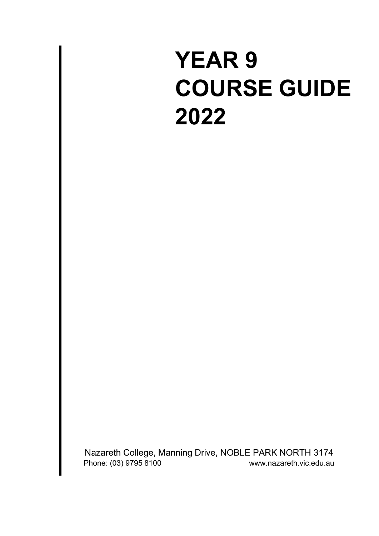# **YEAR 9 COURSE GUIDE 2022**

Nazareth College, Manning Drive, NOBLE PARK NORTH 3174<br>Phone: (03) 9795 8100 Phone:  $(03)$  9795 8100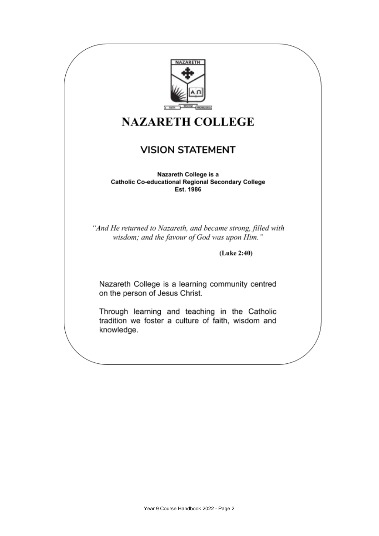

## **NAZARETH COLLEGE**

### **VISION STATEMENT**

Nazareth College is a **Catholic Co-educational Regional Secondary College** Est. 1986

"And He returned to Nazareth, and became strong, filled with wisdom; and the favour of God was upon Him."

(Luke 2:40)

Nazareth College is a learning community centred on the person of Jesus Christ.

Through learning and teaching in the Catholic tradition we foster a culture of faith, wisdom and knowledge.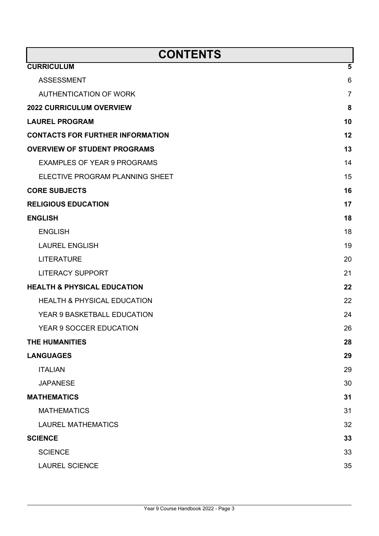| <b>CONTENTS</b>                         |                |  |
|-----------------------------------------|----------------|--|
| <b>CURRICULUM</b>                       | 5              |  |
| <b>ASSESSMENT</b>                       | 6              |  |
| <b>AUTHENTICATION OF WORK</b>           | $\overline{7}$ |  |
| <b>2022 CURRICULUM OVERVIEW</b>         | 8              |  |
| <b>LAUREL PROGRAM</b>                   | 10             |  |
| <b>CONTACTS FOR FURTHER INFORMATION</b> | 12             |  |
| <b>OVERVIEW OF STUDENT PROGRAMS</b>     | 13             |  |
| <b>EXAMPLES OF YEAR 9 PROGRAMS</b>      | 14             |  |
| ELECTIVE PROGRAM PLANNING SHEET         | 15             |  |
| <b>CORE SUBJECTS</b>                    | 16             |  |
| <b>RELIGIOUS EDUCATION</b>              | 17             |  |
| <b>ENGLISH</b>                          | 18             |  |
| <b>ENGLISH</b>                          | 18             |  |
| <b>LAUREL ENGLISH</b>                   | 19             |  |
| <b>LITERATURE</b>                       | 20             |  |
| <b>LITERACY SUPPORT</b>                 | 21             |  |
| <b>HEALTH &amp; PHYSICAL EDUCATION</b>  | 22             |  |
| <b>HEALTH &amp; PHYSICAL EDUCATION</b>  | 22             |  |
| YEAR 9 BASKETBALL EDUCATION             | 24             |  |
| YEAR 9 SOCCER EDUCATION                 | 26             |  |
| <b>THE HUMANITIES</b>                   | 28             |  |
| <b>LANGUAGES</b>                        | 29             |  |
| <b>ITALIAN</b>                          | 29             |  |
| <b>JAPANESE</b>                         | 30             |  |
| <b>MATHEMATICS</b>                      | 31             |  |
| <b>MATHEMATICS</b>                      | 31             |  |
| <b>LAUREL MATHEMATICS</b>               | 32             |  |
| <b>SCIENCE</b>                          | 33             |  |
| <b>SCIENCE</b>                          | 33             |  |
| <b>LAUREL SCIENCE</b>                   | 35             |  |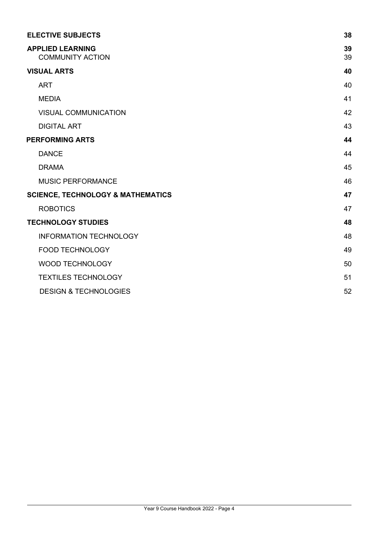| <b>ELECTIVE SUBJECTS</b>                           | 38       |
|----------------------------------------------------|----------|
| <b>APPLIED LEARNING</b><br><b>COMMUNITY ACTION</b> | 39<br>39 |
| <b>VISUAL ARTS</b>                                 | 40       |
| <b>ART</b>                                         | 40       |
| <b>MEDIA</b>                                       | 41       |
| <b>VISUAL COMMUNICATION</b>                        | 42       |
| <b>DIGITAL ART</b>                                 | 43       |
| <b>PERFORMING ARTS</b>                             | 44       |
| <b>DANCE</b>                                       | 44       |
| <b>DRAMA</b>                                       | 45       |
| <b>MUSIC PERFORMANCE</b>                           | 46       |
| <b>SCIENCE, TECHNOLOGY &amp; MATHEMATICS</b>       | 47       |
| <b>ROBOTICS</b>                                    | 47       |
| <b>TECHNOLOGY STUDIES</b>                          | 48       |
| <b>INFORMATION TECHNOLOGY</b>                      | 48       |
| <b>FOOD TECHNOLOGY</b>                             | 49       |
| <b>WOOD TECHNOLOGY</b>                             | 50       |
| <b>TEXTILES TECHNOLOGY</b>                         | 51       |
| <b>DESIGN &amp; TECHNOLOGIES</b>                   | 52       |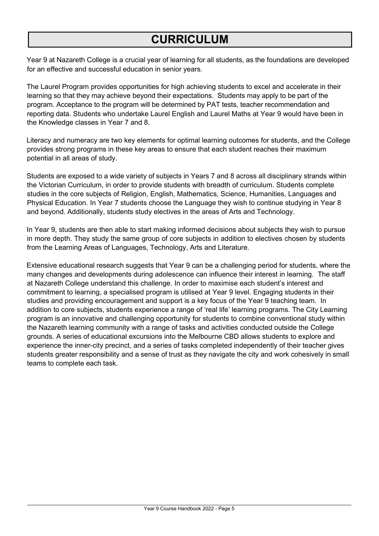## **CURRICULUM**

Year 9 at Nazareth College is a crucial year of learning for all students, as the foundations are developed for an effective and successful education in senior years.

The Laurel Program provides opportunities for high achieving students to excel and accelerate in their learning so that they may achieve beyond their expectations. Students may apply to be part of the program. Acceptance to the program will be determined by PAT tests, teacher recommendation and reporting data. Students who undertake Laurel English and Laurel Maths at Year 9 would have been in the Knowledge classes in Year 7 and 8.

Literacy and numeracy are two key elements for optimal learning outcomes for students, and the College provides strong programs in these key areas to ensure that each student reaches their maximum potential in all areas of study.

Students are exposed to a wide variety of subjects in Years 7 and 8 across all disciplinary strands within the Victorian Curriculum, in order to provide students with breadth of curriculum. Students complete studies in the core subjects of Religion, English, Mathematics, Science, Humanities, Languages and Physical Education. In Year 7 students choose the Language they wish to continue studying in Year 8 and beyond. Additionally, students study electives in the areas of Arts and Technology.

In Year 9, students are then able to start making informed decisions about subjects they wish to pursue in more depth. They study the same group of core subjects in addition to electives chosen by students from the Learning Areas of Languages, Technology, Arts and Literature.

Extensive educational research suggests that Year 9 can be a challenging period for students, where the many changes and developments during adolescence can influence their interest in learning. The staff at Nazareth College understand this challenge. In order to maximise each student's interest and commitment to learning, a specialised program is utilised at Year 9 level. Engaging students in their studies and providing encouragement and support is a key focus of the Year 9 teaching team. In addition to core subjects, students experience a range of 'real life' learning programs. The City Learning program is an innovative and challenging opportunity for students to combine conventional study within the Nazareth learning community with a range of tasks and activities conducted outside the College grounds. A series of educational excursions into the Melbourne CBD allows students to explore and experience the inner-city precinct, and a series of tasks completed independently of their teacher gives students greater responsibility and a sense of trust as they navigate the city and work cohesively in small teams to complete each task.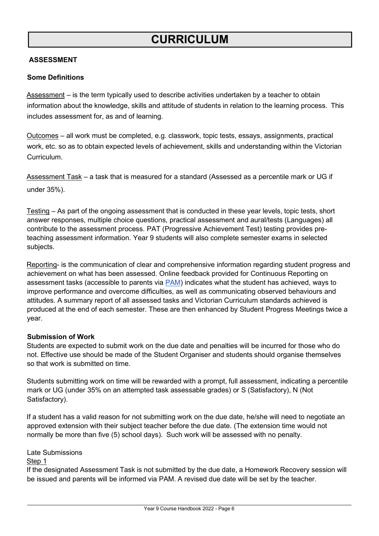## **CURRICULUM**

#### <span id="page-5-0"></span>**ASSESSMENT**

#### **Some Definitions**

Assessment – is the term typically used to describe activities undertaken by a teacher to obtain information about the knowledge, skills and attitude of students in relation to the learning process. This includes assessment for, as and of learning.

Outcomes – all work must be completed, e.g. classwork, topic tests, essays, assignments, practical work, etc. so as to obtain expected levels of achievement, skills and understanding within the Victorian Curriculum.

Assessment Task – a task that is measured for a standard (Assessed as a percentile mark or UG if under 35%).

Testing – As part of the ongoing assessment that is conducted in these year levels, topic tests, short answer responses, multiple choice questions, practical assessment and aural/tests (Languages) all contribute to the assessment process. PAT (Progressive Achievement Test) testing provides preteaching assessment information. Year 9 students will also complete semester exams in selected subjects.

Reporting- is the communication of clear and comprehensive information regarding student progress and achievement on what has been assessed. Online feedback provided for Continuous Reporting on assessment tasks (accessible to parents via **PAM**) indicates what the student has achieved, ways to improve performance and overcome difficulties, as well as communicating observed behaviours and attitudes. A summary report of all assessed tasks and Victorian Curriculum standards achieved is produced at the end of each semester. These are then enhanced by Student Progress Meetings twice a year.

#### **Submission of Work**

Students are expected to submit work on the due date and penalties will be incurred for those who do not. Effective use should be made of the Student Organiser and students should organise themselves so that work is submitted on time.

Students submitting work on time will be rewarded with a prompt, full assessment, indicating a percentile mark or UG (under 35% on an attempted task assessable grades) or S (Satisfactory), N (Not Satisfactory).

If a student has a valid reason for not submitting work on the due date, he/she will need to negotiate an approved extension with their subject teacher before the due date. (The extension time would not normally be more than five (5) school days). Such work will be assessed with no penalty.

Late Submissions

#### Step 1

If the designated Assessment Task is not submitted by the due date, a Homework Recovery session will be issued and parents will be informed via PAM. A revised due date will be set by the teacher.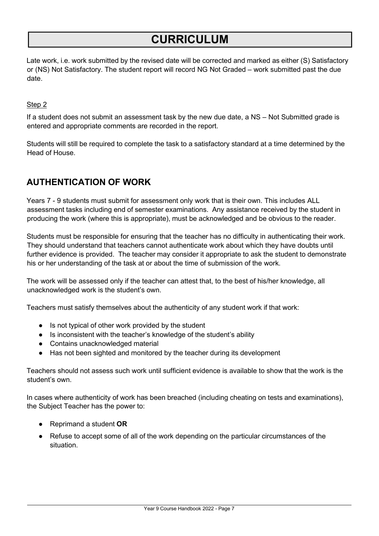## **CURRICULUM**

Late work, i.e. work submitted by the revised date will be corrected and marked as either (S) Satisfactory or (NS) Not Satisfactory. The student report will record NG Not Graded – work submitted past the due date.

#### Step 2

If a student does not submit an assessment task by the new due date, a NS – Not Submitted grade is entered and appropriate comments are recorded in the report.

Students will still be required to complete the task to a satisfactory standard at a time determined by the Head of House.

### <span id="page-6-0"></span>**AUTHENTICATION OF WORK**

Years 7 - 9 students must submit for assessment only work that is their own. This includes ALL assessment tasks including end of semester examinations. Any assistance received by the student in producing the work (where this is appropriate), must be acknowledged and be obvious to the reader.

Students must be responsible for ensuring that the teacher has no difficulty in authenticating their work. They should understand that teachers cannot authenticate work about which they have doubts until further evidence is provided. The teacher may consider it appropriate to ask the student to demonstrate his or her understanding of the task at or about the time of submission of the work.

The work will be assessed only if the teacher can attest that, to the best of his/her knowledge, all unacknowledged work is the student's own.

Teachers must satisfy themselves about the authenticity of any student work if that work:

- Is not typical of other work provided by the student
- Is inconsistent with the teacher's knowledge of the student's ability
- Contains unacknowledged material
- Has not been sighted and monitored by the teacher during its development

Teachers should not assess such work until sufficient evidence is available to show that the work is the student's own.

In cases where authenticity of work has been breached (including cheating on tests and examinations), the Subject Teacher has the power to:

- Reprimand a student **OR**
- Refuse to accept some of all of the work depending on the particular circumstances of the situation.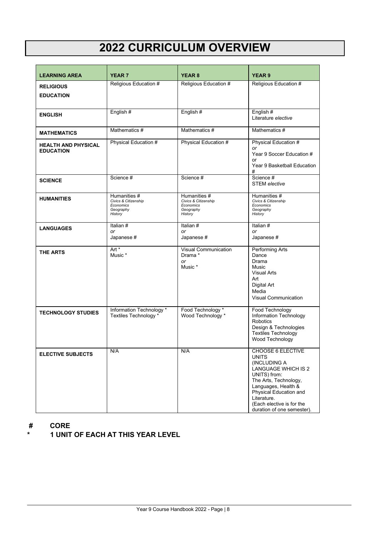## **2022 CURRICULUM OVERVIEW**

| <b>LEARNING AREA</b>                           | <b>YEAR 7</b>                                                             | <b>YEAR 8</b>                                                             | <b>YEAR 9</b>                                                                                                                                                                                                                                       |
|------------------------------------------------|---------------------------------------------------------------------------|---------------------------------------------------------------------------|-----------------------------------------------------------------------------------------------------------------------------------------------------------------------------------------------------------------------------------------------------|
| <b>RELIGIOUS</b><br><b>EDUCATION</b>           | Religious Education #                                                     | Religious Education #                                                     | Religious Education #                                                                                                                                                                                                                               |
| <b>ENGLISH</b>                                 | English#                                                                  | English#                                                                  | English #<br>Literature elective                                                                                                                                                                                                                    |
| <b>MATHEMATICS</b>                             | Mathematics #                                                             | Mathematics #                                                             | Mathematics #                                                                                                                                                                                                                                       |
| <b>HEALTH AND PHYSICAL</b><br><b>EDUCATION</b> | Physical Education #                                                      | Physical Education #                                                      | Physical Education #<br>or<br>Year 9 Soccer Education #<br>or<br>Year 9 Basketball Education<br>#                                                                                                                                                   |
| <b>SCIENCE</b>                                 | Science #                                                                 | Science #                                                                 | Science #<br><b>STEM</b> elective                                                                                                                                                                                                                   |
| <b>HUMANITIES</b>                              | Humanities #<br>Civics & Citizenship<br>Economics<br>Geography<br>History | Humanities #<br>Civics & Citizenship<br>Economics<br>Geography<br>History | Humanities #<br>Civics & Citizenship<br>Economics<br>Geography<br>History                                                                                                                                                                           |
| <b>LANGUAGES</b>                               | Italian $\overline{\#}$<br>or<br>Japanese #                               | Italian#<br>or<br>Japanese #                                              | Italian #<br>or<br>Japanese #                                                                                                                                                                                                                       |
| <b>THE ARTS</b>                                | Art *<br>Music *                                                          | Visual Communication<br>Drama *<br>or<br>Music *                          | Performing Arts<br>Dance<br>Drama<br>Music<br><b>Visual Arts</b><br>Art<br><b>Digital Art</b><br>Media<br><b>Visual Communication</b>                                                                                                               |
| <b>TECHNOLOGY STUDIES</b>                      | Information Technology *<br>Textiles Technology *                         | Food Technology *<br>Wood Technology *                                    | Food Technology<br>Information Technology<br>Robotics<br>Design & Technologies<br><b>Textiles Technology</b><br>Wood Technology                                                                                                                     |
| <b>ELECTIVE SUBJECTS</b>                       | N/A                                                                       | N/A                                                                       | <b>CHOOSE 6 ELECTIVE</b><br><b>UNITS</b><br>(INCLUDING A<br>LANGUAGE WHICH IS 2<br>UNITS) from:<br>The Arts, Technology,<br>Languages, Health &<br>Physical Education and<br>Literature.<br>(Each elective is for the<br>duration of one semester). |

## **# CORE**

**\* 1 UNIT OF EACH AT THIS YEAR LEVEL**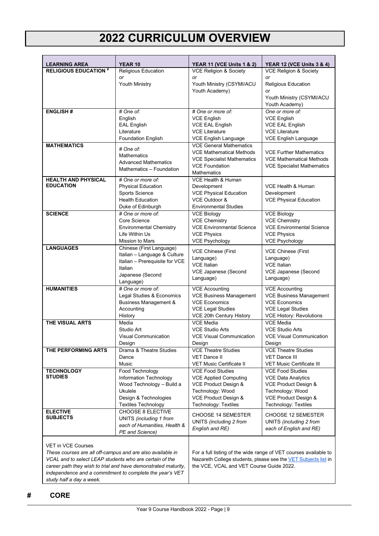## **2022 CURRICULUM OVERVIEW**

| <b>LEARNING AREA</b>                                                                                                  | <b>YEAR 10</b>                                           | <b>YEAR 11 (VCE Units 1 &amp; 2)</b>                              | <b>YEAR 12 (VCE Units 3 &amp; 4)</b>                                                                                               |
|-----------------------------------------------------------------------------------------------------------------------|----------------------------------------------------------|-------------------------------------------------------------------|------------------------------------------------------------------------------------------------------------------------------------|
| <b>RELIGIOUS EDUCATION #</b>                                                                                          | <b>Religious Education</b>                               | <b>VCE Religion &amp; Society</b>                                 | <b>VCE Religion &amp; Society</b>                                                                                                  |
|                                                                                                                       | or<br>Youth Ministry                                     | or                                                                | or<br>Religious Education                                                                                                          |
|                                                                                                                       |                                                          | Youth Ministry (CSYMI/ACU<br>Youth Academy)                       | or                                                                                                                                 |
|                                                                                                                       |                                                          |                                                                   | Youth Ministry (CSYMI/ACU                                                                                                          |
| <b>ENGLISH#</b>                                                                                                       | # One of:                                                | # One or more of:                                                 | Youth Academy)<br>One or more of:                                                                                                  |
|                                                                                                                       | English                                                  | <b>VCE English</b>                                                | <b>VCE English</b>                                                                                                                 |
|                                                                                                                       | <b>EAL English</b>                                       | <b>VCE EAL English</b>                                            | <b>VCE EAL English</b>                                                                                                             |
|                                                                                                                       | Literature                                               | <b>VCE Literature</b>                                             | <b>VCE Literature</b>                                                                                                              |
|                                                                                                                       | <b>Foundation English</b>                                | <b>VCE English Language</b>                                       | VCE English Language                                                                                                               |
| <b>MATHEMATICS</b>                                                                                                    | # One of:                                                | <b>VCE General Mathematics</b><br><b>VCE Mathematical Methods</b> | <b>VCE Further Mathematics</b>                                                                                                     |
|                                                                                                                       | <b>Mathematics</b>                                       | <b>VCE Specialist Mathematics</b>                                 | <b>VCE Mathematical Methods</b>                                                                                                    |
|                                                                                                                       | <b>Advanced Mathematics</b><br>Mathematics - Foundation  | <b>VCE Foundation</b>                                             | <b>VCE Specialist Mathematics</b>                                                                                                  |
|                                                                                                                       |                                                          | <b>Mathematics</b>                                                |                                                                                                                                    |
| <b>HEALTH AND PHYSICAL</b><br><b>EDUCATION</b>                                                                        | # One or more of:                                        | VCE Health & Human                                                |                                                                                                                                    |
|                                                                                                                       | <b>Physical Education</b><br>Sports Science              | Development<br><b>VCE Physical Education</b>                      | VCE Health & Human<br>Development                                                                                                  |
|                                                                                                                       | <b>Health Education</b>                                  | VCE Outdoor &                                                     | <b>VCE Physical Education</b>                                                                                                      |
|                                                                                                                       | Duke of Edinburgh                                        | <b>Environmental Studies</b>                                      |                                                                                                                                    |
| <b>SCIENCE</b>                                                                                                        | # One or more of:                                        | <b>VCE Biology</b>                                                | <b>VCE Biology</b>                                                                                                                 |
|                                                                                                                       | Core Science                                             | <b>VCE Chemistry</b><br><b>VCE Environmental Science</b>          | <b>VCE Chemistry</b>                                                                                                               |
|                                                                                                                       | <b>Environmental Chemistry</b><br>Life Within Us         | <b>VCE Physics</b>                                                | <b>VCE Environmental Science</b><br><b>VCE Physics</b>                                                                             |
|                                                                                                                       | Mission to Mars                                          | <b>VCE Psychology</b>                                             | <b>VCE Psychology</b>                                                                                                              |
| <b>LANGUAGES</b>                                                                                                      | Chinese (First Language)                                 | <b>VCE Chinese (First</b>                                         | <b>VCE Chinese (First</b>                                                                                                          |
|                                                                                                                       | Italian - Language & Culture                             | Language)                                                         | Language)                                                                                                                          |
|                                                                                                                       | Italian - Prerequisite for VCE<br>Italian                | <b>VCE Italian</b>                                                | <b>VCE Italian</b>                                                                                                                 |
|                                                                                                                       | Japanese (Second                                         | VCE Japanese (Second                                              | VCE Japanese (Second                                                                                                               |
|                                                                                                                       | Language)                                                | Language)                                                         | Language)                                                                                                                          |
| <b>HUMANITIES</b>                                                                                                     | # One or more of:                                        | <b>VCE Accounting</b>                                             | <b>VCE Accounting</b>                                                                                                              |
|                                                                                                                       | Legal Studies & Economics                                | <b>VCE Business Management</b><br><b>VCE Economics</b>            | <b>VCE Business Management</b>                                                                                                     |
|                                                                                                                       | <b>Business Management &amp;</b><br>Accounting           | <b>VCE Legal Studies</b>                                          | <b>VCE Economics</b><br><b>VCE Legal Studies</b>                                                                                   |
|                                                                                                                       | History                                                  | VCE 20th Century History                                          | <b>VCE History: Revolutions</b>                                                                                                    |
| THE VISUAL ARTS                                                                                                       | Media                                                    | <b>VCE Media</b>                                                  | <b>VCE Media</b>                                                                                                                   |
|                                                                                                                       | Studio Art                                               | <b>VCE Studio Arts</b>                                            | <b>VCE Studio Arts</b>                                                                                                             |
|                                                                                                                       | <b>Visual Communication</b><br>Design                    | <b>VCE Visual Communication</b><br>Design                         | <b>VCE Visual Communication</b><br>Design                                                                                          |
| THE PERFORMING ARTS                                                                                                   | Drama & Theatre Studies                                  | <b>VCE Theatre Studies</b>                                        | <b>VCE Theatre Studies</b>                                                                                                         |
|                                                                                                                       | Dance                                                    | <b>VET Dance II</b>                                               | VET Dance III                                                                                                                      |
|                                                                                                                       | Music                                                    | <b>VET Music Certificate II</b>                                   | <b>VET Music Certificate III</b>                                                                                                   |
| <b>TECHNOLOGY</b><br><b>STUDIES</b>                                                                                   | Food Technology                                          | <b>VCE Food Studies</b>                                           | <b>VCE Food Studies</b>                                                                                                            |
|                                                                                                                       | Information Technology<br>Wood Technology - Build a      | <b>VCE Applied Computing</b><br>VCE Product Design &              | <b>VCE Data Analytics</b><br>VCE Product Design &                                                                                  |
|                                                                                                                       | <b>Ukulele</b>                                           | Technology: Wood                                                  | Technology: Wood                                                                                                                   |
|                                                                                                                       | Design & Technologies                                    | VCE Product Design &                                              | VCE Product Design &                                                                                                               |
|                                                                                                                       | <b>Textiles Technology</b>                               | Technology: Textiles                                              | <b>Technology: Textiles</b>                                                                                                        |
| <b>ELECTIVE</b><br><b>SUBJECTS</b>                                                                                    | <b>CHOOSE 8 ELECTIVE</b><br>UNITS (including 1 from      | CHOOSE 14 SEMESTER                                                | CHOOSE 12 SEMESTER                                                                                                                 |
|                                                                                                                       | each of Humanities, Health &                             | UNITS (including 2 from                                           | UNITS (including 2 from                                                                                                            |
|                                                                                                                       | PE and Science)                                          | English and RE)                                                   | each of English and RE)                                                                                                            |
|                                                                                                                       |                                                          |                                                                   |                                                                                                                                    |
| <b>VET in VCE Courses</b>                                                                                             |                                                          |                                                                   |                                                                                                                                    |
| These courses are all off-campus and are also available in<br>VCAL and to select LEAP students who are certain of the |                                                          |                                                                   | For a full listing of the wide range of VET courses available to<br>Nazareth College students, please see the VET Subjects list in |
| career path they wish to trial and have demonstrated maturity,                                                        |                                                          | the VCE, VCAL and VET Course Guide 2022.                          |                                                                                                                                    |
|                                                                                                                       | independence and a commitment to complete the year's VET |                                                                   |                                                                                                                                    |
| study half a day a week.                                                                                              |                                                          |                                                                   |                                                                                                                                    |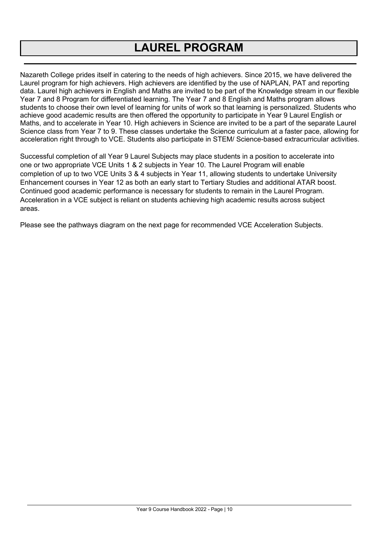## **LAUREL PROGRAM**

Nazareth College prides itself in catering to the needs of high achievers. Since 2015, we have delivered the Laurel program for high achievers. High achievers are identified by the use of NAPLAN, PAT and reporting data. Laurel high achievers in English and Maths are invited to be part of the Knowledge stream in our flexible Year 7 and 8 Program for differentiated learning. The Year 7 and 8 English and Maths program allows students to choose their own level of learning for units of work so that learning is personalized. Students who achieve good academic results are then offered the opportunity to participate in Year 9 Laurel English or Maths, and to accelerate in Year 10. High achievers in Science are invited to be a part of the separate Laurel Science class from Year 7 to 9. These classes undertake the Science curriculum at a faster pace, allowing for acceleration right through to VCE. Students also participate in STEM/ Science-based extracurricular activities.

Successful completion of all Year 9 Laurel Subjects may place students in a position to accelerate into one or two appropriate VCE Units 1 & 2 subjects in Year 10. The Laurel Program will enable completion of up to two VCE Units 3 & 4 subjects in Year 11, allowing students to undertake University Enhancement courses in Year 12 as both an early start to Tertiary Studies and additional ATAR boost. Continued good academic performance is necessary for students to remain in the Laurel Program. Acceleration in a VCE subject is reliant on students achieving high academic results across subject areas.

Please see the pathways diagram on the next page for recommended VCE Acceleration Subjects.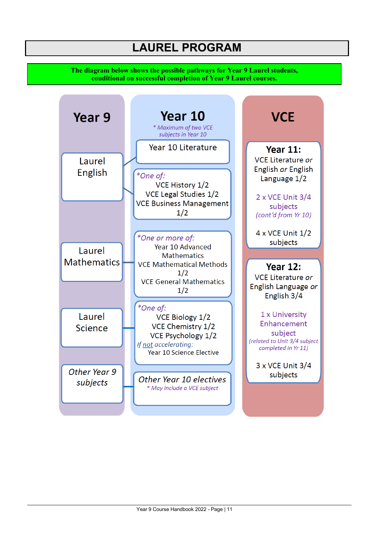**The diagram below shows the possible pathways for Year 9 Laurel students, conditional on successful completion of Year 9 Laurel courses.**

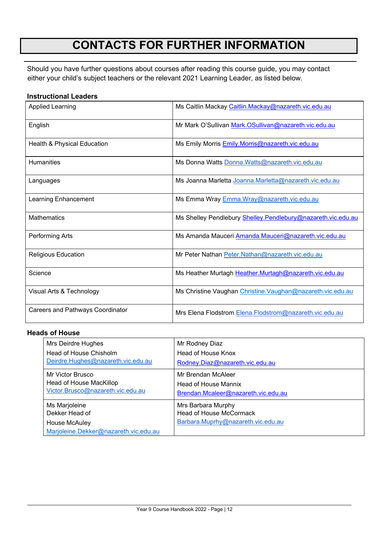## **CONTACTS FOR FURTHER INFORMATION**

Should you have further questions about courses after reading this course guide, you may contact either your child's subject teachers or the relevant 2021 Learning Leader, as listed below.

### **Instructional Leaders**

| <b>Applied Learning</b>                 | Ms Caitlin Mackay Caitlin.Mackay@nazareth.vic.edu.au         |  |
|-----------------------------------------|--------------------------------------------------------------|--|
| English                                 | Mr Mark O'Sullivan Mark.OSullivan@nazareth.vic.edu.au        |  |
| Health & Physical Education             | Ms Emily Morris Emily.Morris@nazareth.vic.edu.au             |  |
| <b>Humanities</b>                       | Ms Donna Watts Donna. Watts@nazareth.vic.edu.au              |  |
| Languages                               | Ms Joanna Marletta Joanna.Marletta@nazareth.vic.edu.au       |  |
| Learning Enhancement                    | Ms Emma Wray Emma. Wray@nazareth.vic.edu.au                  |  |
| <b>Mathematics</b>                      | Ms Shelley Pendlebury Shelley.Pendlebury@nazareth.vic.edu.au |  |
| Performing Arts                         | Ms Amanda Mauceri Amanda.Mauceri@nazareth.vic.edu.au         |  |
| <b>Religious Education</b>              | Mr Peter Nathan Peter.Nathan@nazareth.vic.edu.au             |  |
| Science                                 | Ms Heather Murtagh Heather.Murtagh@nazareth.vic.edu.au       |  |
| Visual Arts & Technology                | Ms Christine Vaughan Christine. Vaughan@nazareth.vic.edu.au  |  |
| <b>Careers and Pathways Coordinator</b> | Mrs Elena Flodstrom Elena. Flodstrom@nazareth.vic.edu.au     |  |

#### **Heads of House**

| Mrs Deirdre Hughes                                                                        | Mr Rodney Diaz                                                                             |
|-------------------------------------------------------------------------------------------|--------------------------------------------------------------------------------------------|
| Head of House Chisholm                                                                    | Head of House Knox                                                                         |
| Deirdre.Hughes@nazareth.vic.edu.au                                                        | Rodney.Diaz@nazareth.vic.edu.au                                                            |
| Mr Victor Brusco                                                                          | Mr Brendan McAleer                                                                         |
| Head of House MacKillop                                                                   | <b>Head of House Mannix</b>                                                                |
| Victor.Brusco@nazareth.vic.edu.au                                                         | Brendan.Mcaleer@nazareth.vic.edu.au                                                        |
| Ms Marjoleine<br>Dekker Head of<br>House McAuley<br>Marjoleine.Dekker@nazareth.vic.edu.au | Mrs Barbara Murphy<br><b>Head of House McCormack</b><br>Barbara.Muprhy@nazareth.vic.edu.au |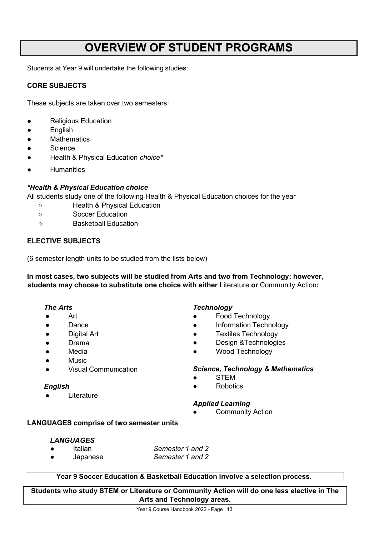## **OVERVIEW OF STUDENT PROGRAMS**

Students at Year 9 will undertake the following studies:

#### <span id="page-12-0"></span>**CORE SUBJECTS**

These subjects are taken over two semesters:

- Religious Education
- English
- Mathematics
- **Science**
- Health & Physical Education *choice\**
- **Humanities**

#### *\*Health & Physical Education choice*

All students study one of the following Health & Physical Education choices for the year

- Health & Physical Education
- Soccer Education
- Basketball Education

#### **ELECTIVE SUBJECTS**

(6 semester length units to be studied from the lists below)

**In most cases, two subjects will be studied from Arts and two from Technology; however, students may choose to substitute one choice with either** Literature **or** Community Action**:**

#### *The Arts*

- Art
- Dance
- Digital Art
- Drama
- **Media**
- **Music**
- **Visual Communication**

#### *English*

Literature

#### *Technology*

- **Food Technology**
- Information Technology
- **Textiles Technology**
- Design &Technologies
- Wood Technology

#### *Science, Technology & Mathematics*

- **STEM**
- **Robotics**

#### *Applied Learning*

**Community Action** 

#### <span id="page-12-1"></span>**LANGUAGES comprise of two semester units**

#### *LANGUAGES*

- Italian *Semester 1 and 2*
- Japanese *Semester 1 and 2*

#### **Year 9 Soccer Education & Basketball Education involve a selection process.**

**Students who study STEM or Literature or Community Action will do one less elective in The Arts and Technology areas.**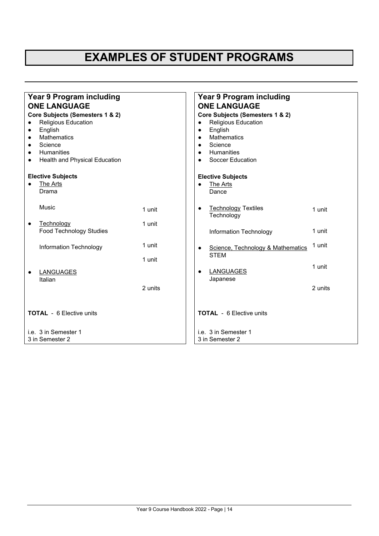## **EXAMPLES OF STUDENT PROGRAMS**

| <b>Year 9 Program including</b>    |         | <b>Year 9 Program including</b>         |         |  |
|------------------------------------|---------|-----------------------------------------|---------|--|
| <b>ONE LANGUAGE</b>                |         | <b>ONE LANGUAGE</b>                     |         |  |
| Core Subjects (Semesters 1 & 2)    |         | Core Subjects (Semesters 1 & 2)         |         |  |
| <b>Religious Education</b>         |         | <b>Religious Education</b><br>$\bullet$ |         |  |
| English<br>$\bullet$               |         | English<br>$\bullet$                    |         |  |
| <b>Mathematics</b>                 |         | <b>Mathematics</b><br>$\bullet$         |         |  |
| Science                            |         | Science<br>$\bullet$                    |         |  |
| <b>Humanities</b>                  |         | Humanities<br>$\bullet$                 |         |  |
| Health and Physical Education<br>٠ |         | <b>Soccer Education</b>                 |         |  |
| <b>Elective Subjects</b>           |         | <b>Elective Subjects</b>                |         |  |
| The Arts                           |         | The Arts<br>$\bullet$                   |         |  |
| Drama                              |         | Dance                                   |         |  |
|                                    |         |                                         |         |  |
| Music                              | 1 unit  | <b>Technology Textiles</b><br>٠         | 1 unit  |  |
|                                    |         | Technology                              |         |  |
| Technology<br>$\bullet$            | 1 unit  |                                         |         |  |
| <b>Food Technology Studies</b>     |         | Information Technology                  | 1 unit  |  |
|                                    |         |                                         |         |  |
| Information Technology             | 1 unit  | Science, Technology & Mathematics<br>٠  | 1 unit  |  |
|                                    |         | <b>STEM</b>                             |         |  |
|                                    | 1 unit  |                                         |         |  |
| <b>LANGUAGES</b>                   |         | <b>LANGUAGES</b><br>$\bullet$           | 1 unit  |  |
| Italian                            |         | Japanese                                |         |  |
|                                    | 2 units |                                         | 2 units |  |
|                                    |         |                                         |         |  |
|                                    |         |                                         |         |  |
|                                    |         |                                         |         |  |
| <b>TOTAL</b> - 6 Elective units    |         | <b>TOTAL</b> - 6 Elective units         |         |  |
|                                    |         |                                         |         |  |
| i.e. 3 in Semester 1               |         | i.e. 3 in Semester 1                    |         |  |
| 3 in Semester 2                    |         | 3 in Semester 2                         |         |  |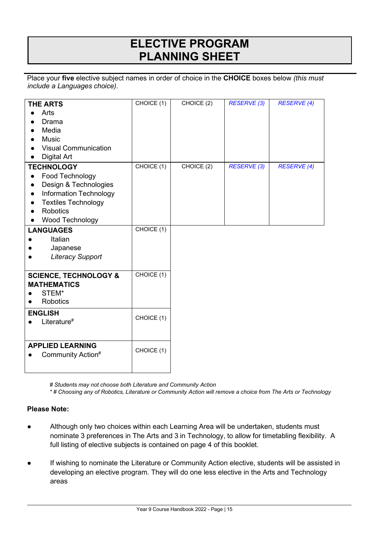## **ELECTIVE PROGRAM PLANNING SHEET**

Place your **five** elective subject names in order of choice in the **CHOICE** boxes below *(this must include a Languages choice)*.

|                                         | CHOICE (1) | CHOICE (2) | <b>RESERVE (3)</b> | <b>RESERVE (4)</b> |
|-----------------------------------------|------------|------------|--------------------|--------------------|
| <b>THE ARTS</b>                         |            |            |                    |                    |
| Arts                                    |            |            |                    |                    |
| Drama                                   |            |            |                    |                    |
| Media                                   |            |            |                    |                    |
| <b>Music</b>                            |            |            |                    |                    |
| <b>Visual Communication</b>             |            |            |                    |                    |
| <b>Digital Art</b>                      |            |            |                    |                    |
| <b>TECHNOLOGY</b>                       | CHOICE (1) | CHOICE (2) | <b>RESERVE (3)</b> | <b>RESERVE (4)</b> |
| Food Technology                         |            |            |                    |                    |
| Design & Technologies                   |            |            |                    |                    |
| <b>Information Technology</b>           |            |            |                    |                    |
| <b>Textiles Technology</b><br>$\bullet$ |            |            |                    |                    |
| <b>Robotics</b>                         |            |            |                    |                    |
| Wood Technology                         |            |            |                    |                    |
| <b>LANGUAGES</b>                        | CHOICE (1) |            |                    |                    |
| Italian                                 |            |            |                    |                    |
| Japanese                                |            |            |                    |                    |
| <b>Literacy Support</b>                 |            |            |                    |                    |
|                                         |            |            |                    |                    |
| <b>SCIENCE, TECHNOLOGY &amp;</b>        | CHOICE (1) |            |                    |                    |
| <b>MATHEMATICS</b>                      |            |            |                    |                    |
| STEM*                                   |            |            |                    |                    |
| <b>Robotics</b>                         |            |            |                    |                    |
| <b>ENGLISH</b>                          |            |            |                    |                    |
| Literature <sup>#</sup>                 | CHOICE (1) |            |                    |                    |
|                                         |            |            |                    |                    |
|                                         |            |            |                    |                    |
| <b>APPLIED LEARNING</b>                 | CHOICE (1) |            |                    |                    |
| Community Action#                       |            |            |                    |                    |
|                                         |            |            |                    |                    |
|                                         |            |            |                    |                    |

*# Students may not choose both Literature and Community Action*

*\* # Choosing any of Robotics, Literature or Community Action will remove a choice from The Arts or Technology*

#### **Please Note:**

- Although only two choices within each Learning Area will be undertaken, students must nominate 3 preferences in The Arts and 3 in Technology, to allow for timetabling flexibility. A full listing of elective subjects is contained on page 4 of this booklet.
- If wishing to nominate the Literature or Community Action elective, students will be assisted in developing an elective program. They will do one less elective in the Arts and Technology areas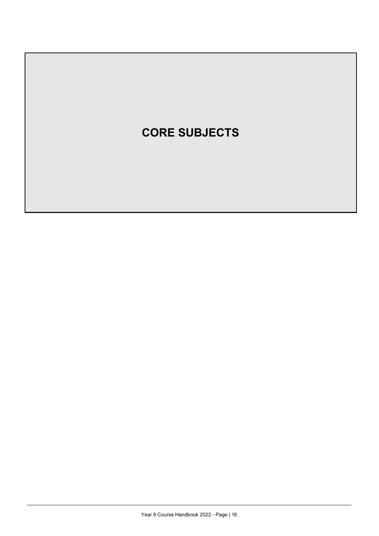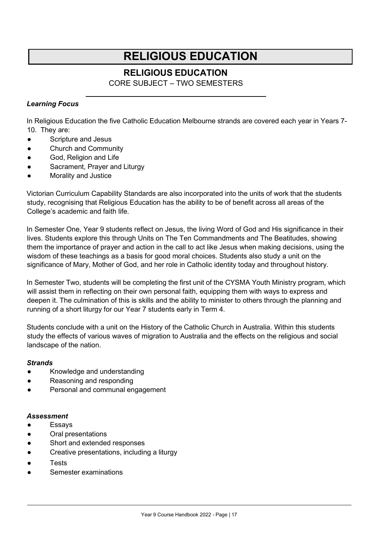## **RELIGIOUS EDUCATION**

### **RELIGIOUS EDUCATION**

CORE SUBJECT – TWO SEMESTERS

#### <span id="page-16-0"></span>*Learning Focus*

In Religious Education the five Catholic Education Melbourne strands are covered each year in Years 7- 10. They are:

- Scripture and Jesus
- Church and Community
- God, Religion and Life
- Sacrament, Prayer and Liturgy
- Morality and Justice

Victorian Curriculum Capability Standards are also incorporated into the units of work that the students study, recognising that Religious Education has the ability to be of benefit across all areas of the College's academic and faith life.

In Semester One, Year 9 students reflect on Jesus, the living Word of God and His significance in their lives. Students explore this through Units on The Ten Commandments and The Beatitudes, showing them the importance of prayer and action in the call to act like Jesus when making decisions, using the wisdom of these teachings as a basis for good moral choices. Students also study a unit on the significance of Mary, Mother of God, and her role in Catholic identity today and throughout history.

In Semester Two, students will be completing the first unit of the CYSMA Youth Ministry program, which will assist them in reflecting on their own personal faith, equipping them with ways to express and deepen it. The culmination of this is skills and the ability to minister to others through the planning and running of a short liturgy for our Year 7 students early in Term 4.

Students conclude with a unit on the History of the Catholic Church in Australia. Within this students study the effects of various waves of migration to Australia and the effects on the religious and social landscape of the nation.

#### *Strands*

- Knowledge and understanding
- Reasoning and responding
- Personal and communal engagement

- **Essays**
- Oral presentations
- Short and extended responses
- Creative presentations, including a liturgy
- Tests
- Semester examinations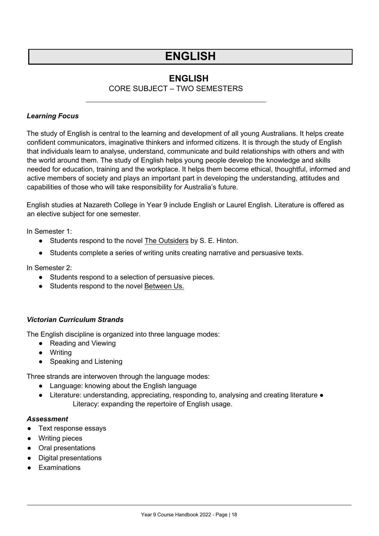### **ENGLISH**

### CORE SUBJECT – TWO SEMESTERS

#### <span id="page-17-0"></span>*Learning Focus*

The study of English is central to the learning and development of all young Australians. It helps create confident communicators, imaginative thinkers and informed citizens. It is through the study of English that individuals learn to analyse, understand, communicate and build relationships with others and with the world around them. The study of English helps young people develop the knowledge and skills needed for education, training and the workplace. It helps them become ethical, thoughtful, informed and active members of society and plays an important part in developing the understanding, attitudes and capabilities of those who will take responsibility for Australia's future.

English studies at Nazareth College in Year 9 include English or Laurel English. Literature is offered as an elective subject for one semester.

In Semester 1:

- **•** Students respond to the novel **The Outsiders by S. E. Hinton.**
- Students complete a series of writing units creating narrative and persuasive texts.

In Semester 2:

- Students respond to a selection of persuasive pieces.
- Students respond to the novel Between Us.

#### *Victorian Curriculum Strands*

The English discipline is organized into three language modes:

- Reading and Viewing
- Writing
- Speaking and Listening

Three strands are interwoven through the language modes:

- Language: knowing about the English language
- Literature: understanding, appreciating, responding to, analysing and creating literature Literacy: expanding the repertoire of English usage.

- Text response essays
- Writing pieces
- Oral presentations
- Digital presentations
- Examinations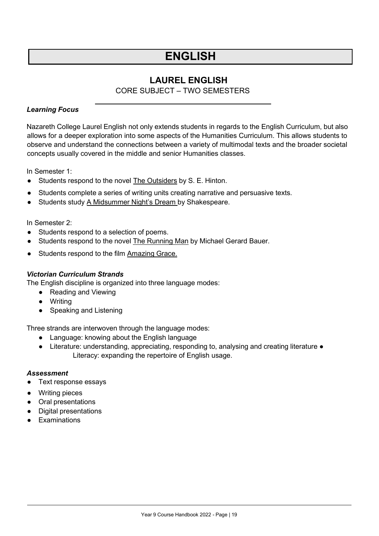### **LAUREL ENGLISH**

CORE SUBJECT – TWO SEMESTERS

#### <span id="page-18-0"></span>*Learning Focus*

Nazareth College Laurel English not only extends students in regards to the English Curriculum, but also allows for a deeper exploration into some aspects of the Humanities Curriculum. This allows students to observe and understand the connections between a variety of multimodal texts and the broader societal concepts usually covered in the middle and senior Humanities classes.

In Semester 1:

- **•** Students respond to the novel **The Outsiders by S. E. Hinton.**
- Students complete a series of writing units creating narrative and persuasive texts.
- Students study A Midsummer Night's Dream by Shakespeare.

In Semester 2:

- Students respond to a selection of poems.
- Students respond to the novel The Running Man by Michael Gerard Bauer.
- Students respond to the film Amazing Grace.

#### *Victorian Curriculum Strands*

The English discipline is organized into three language modes:

- Reading and Viewing
- Writing
- Speaking and Listening

Three strands are interwoven through the language modes:

- Language: knowing about the English language
- Literature: understanding, appreciating, responding to, analysing and creating literature Literacy: expanding the repertoire of English usage.

- Text response essays
- Writing pieces
- Oral presentations
- Digital presentations
- Examinations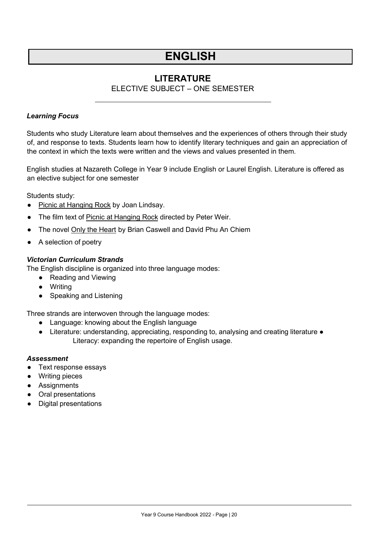### **LITERATURE**

### ELECTIVE SUBJECT – ONE SEMESTER

#### <span id="page-19-0"></span>*Learning Focus*

Students who study Literature learn about themselves and the experiences of others through their study of, and response to texts. Students learn how to identify literary techniques and gain an appreciation of the context in which the texts were written and the views and values presented in them.

English studies at Nazareth College in Year 9 include English or Laurel English. Literature is offered as an elective subject for one semester

Students study:

- Picnic at Hanging Rock by Joan Lindsay.
- The film text of Picnic at Hanging Rock directed by Peter Weir.
- The novel Only the Heart by Brian Caswell and David Phu An Chiem
- A selection of poetry

#### *Victorian Curriculum Strands*

The English discipline is organized into three language modes:

- Reading and Viewing
- Writing
- Speaking and Listening

Three strands are interwoven through the language modes:

- Language: knowing about the English language
- Literature: understanding, appreciating, responding to, analysing and creating literature Literacy: expanding the repertoire of English usage.

- Text response essays
- Writing pieces
- Assignments
- Oral presentations
- Digital presentations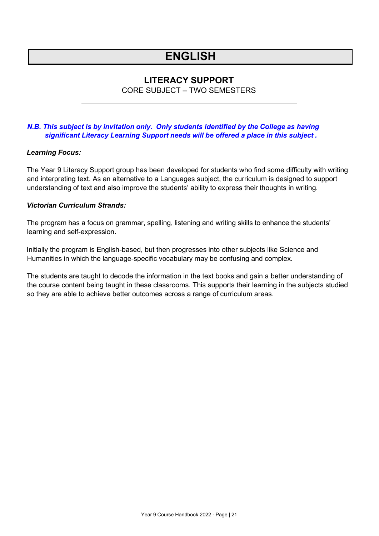### **LITERACY SUPPORT**

CORE SUBJECT – TWO SEMESTERS

#### <span id="page-20-0"></span>*N.B. This subject is by invitation only. Only students identified by the College as having significant Literacy Learning Support needs will be offered a place in this subject .*

#### *Learning Focus:*

The Year 9 Literacy Support group has been developed for students who find some difficulty with writing and interpreting text. As an alternative to a Languages subject, the curriculum is designed to support understanding of text and also improve the students' ability to express their thoughts in writing.

#### *Victorian Curriculum Strands:*

The program has a focus on grammar, spelling, listening and writing skills to enhance the students' learning and self-expression.

Initially the program is English-based, but then progresses into other subjects like Science and Humanities in which the language-specific vocabulary may be confusing and complex.

The students are taught to decode the information in the text books and gain a better understanding of the course content being taught in these classrooms. This supports their learning in the subjects studied so they are able to achieve better outcomes across a range of curriculum areas.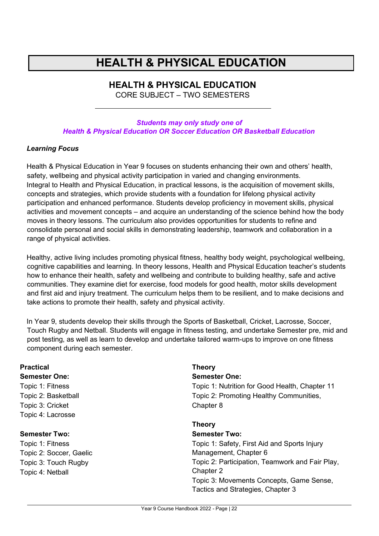## **HEALTH & PHYSICAL EDUCATION**

## **HEALTH & PHYSICAL EDUCATION**

CORE SUBJECT – TWO SEMESTERS

#### <span id="page-21-0"></span>*Students may only study one of Health & Physical Education OR Soccer Education OR Basketball Education*

#### *Learning Focus*

Health & Physical Education in Year 9 focuses on students enhancing their own and others' health, safety, wellbeing and physical activity participation in varied and changing environments. Integral to Health and Physical Education, in practical lessons, is the acquisition of movement skills, concepts and strategies, which provide students with a foundation for lifelong physical activity participation and enhanced performance. Students develop proficiency in movement skills, physical activities and movement concepts – and acquire an understanding of the science behind how the body moves in theory lessons. The curriculum also provides opportunities for students to refine and consolidate personal and social skills in demonstrating leadership, teamwork and collaboration in a range of physical activities.

Healthy, active living includes promoting physical fitness, healthy body weight, psychological wellbeing, cognitive capabilities and learning. In theory lessons, Health and Physical Education teacher's students how to enhance their health, safety and wellbeing and contribute to building healthy, safe and active communities. They examine diet for exercise, food models for good health, motor skills development and first aid and injury treatment. The curriculum helps them to be resilient, and to make decisions and take actions to promote their health, safety and physical activity.

In Year 9, students develop their skills through the Sports of Basketball, Cricket, Lacrosse, Soccer, Touch Rugby and Netball. Students will engage in fitness testing, and undertake Semester pre, mid and post testing, as well as learn to develop and undertake tailored warm-ups to improve on one fitness component during each semester.

| <b>Practical</b>        | <b>Theory</b>                                   |
|-------------------------|-------------------------------------------------|
| <b>Semester One:</b>    | <b>Semester One:</b>                            |
| Topic 1: Fitness        | Topic 1: Nutrition for Good Health, Chapter 11  |
| Topic 2: Basketball     | Topic 2: Promoting Healthy Communities,         |
| Topic 3: Cricket        | Chapter 8                                       |
| Topic 4: Lacrosse       |                                                 |
|                         | <b>Theory</b>                                   |
| <b>Semester Two:</b>    | <b>Semester Two:</b>                            |
| Topic 1: Fitness        | Topic 1: Safety, First Aid and Sports Injury    |
| Topic 2: Soccer, Gaelic | Management, Chapter 6                           |
| Topic 3: Touch Rugby    | Topic 2: Participation, Teamwork and Fair Play, |
| Topic 4: Netball        | Chapter 2                                       |
|                         | Topic 3: Movements Concepts, Game Sense,        |
|                         | Tactics and Strategies, Chapter 3               |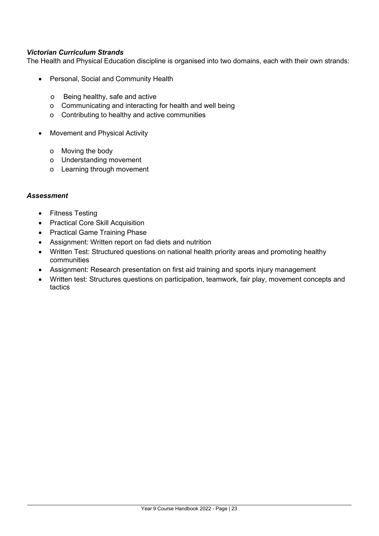#### *Victorian Curriculum Strands*

The Health and Physical Education discipline is organised into two domains, each with their own strands:

- Personal, Social and Community Health
	- o Being healthy, safe and active
	- o Communicating and interacting for health and well being
	- o Contributing to healthy and active communities
- Movement and Physical Activity
	- o Moving the body
	- o Understanding movement
	- o Learning through movement

- Fitness Testing
- Practical Core Skill Acquisition
- Practical Game Training Phase
- Assignment: Written report on fad diets and nutrition
- Written Test: Structured questions on national health priority areas and promoting healthy communities
- Assignment: Research presentation on first aid training and sports injury management
- Written test: Structures questions on participation, teamwork, fair play, movement concepts and tactics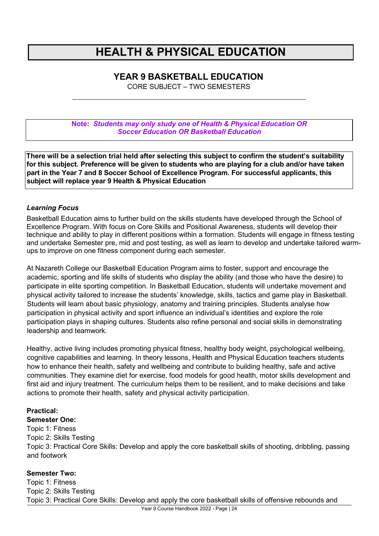## **HEALTH & PHYSICAL EDUCATION**

### <span id="page-23-0"></span>**YEAR 9 BASKETBALL EDUCATION**

CORE SUBJECT – TWO SEMESTERS

**Note:** *Students may only study one of Health & Physical Education OR Soccer Education OR Basketball Education*

**There will be a selection trial held after selecting this subject to confirm the student's suitability for this subject. Preference will be given to students who are playing for a club and/or have taken part in the Year 7 and 8 Soccer School of Excellence Program. For successful applicants, this subject will replace year 9 Health & Physical Education**

#### *Learning Focus*

Basketball Education aims to further build on the skills students have developed through the School of Excellence Program. With focus on Core Skills and Positional Awareness, students will develop their technique and ability to play in different positions within a formation. Students will engage in fitness testing and undertake Semester pre, mid and post testing, as well as learn to develop and undertake tailored warmups to improve on one fitness component during each semester.

At Nazareth College our Basketball Education Program aims to foster, support and encourage the academic, sporting and life skills of students who display the ability (and those who have the desire) to participate in elite sporting competition. In Basketball Education, students will undertake movement and physical activity tailored to increase the students' knowledge, skills, tactics and game play in Basketball. Students will learn about basic physiology, anatomy and training principles. Students analyse how participation in physical activity and sport influence an individual's identities and explore the role participation plays in shaping cultures. Students also refine personal and social skills in demonstrating leadership and teamwork.

Healthy, active living includes promoting physical fitness, healthy body weight, psychological wellbeing, cognitive capabilities and learning. In theory lessons, Health and Physical Education teachers students how to enhance their health, safety and wellbeing and contribute to building healthy, safe and active communities. They examine diet for exercise, food models for good health, motor skills development and first aid and injury treatment. The curriculum helps them to be resilient, and to make decisions and take actions to promote their health, safety and physical activity participation.

#### **Practical:**

#### **Semester One:**

Topic 1: Fitness Topic 2: Skills Testing Topic 3: Practical Core Skills: Develop and apply the core basketball skills of shooting, dribbling, passing and footwork

#### **Semester Two:**

Topic 1: Fitness Topic 2: Skills Testing Topic 3: Practical Core Skills: Develop and apply the core basketball skills of offensive rebounds and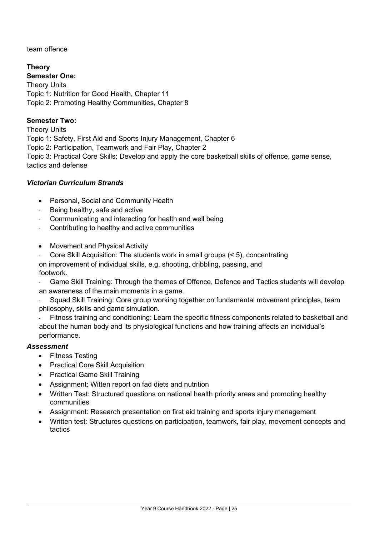team offence

**Theory Semester One:** Theory Units Topic 1: Nutrition for Good Health, Chapter 11 Topic 2: Promoting Healthy Communities, Chapter 8

### **Semester Two:**

Theory Units Topic 1: Safety, First Aid and Sports Injury Management, Chapter 6 Topic 2: Participation, Teamwork and Fair Play, Chapter 2 Topic 3: Practical Core Skills: Develop and apply the core basketball skills of offence, game sense, tactics and defense

### *Victorian Curriculum Strands*

- Personal, Social and Community Health
- Being healthy, safe and active
- Communicating and interacting for health and well being
- Contributing to healthy and active communities
- Movement and Physical Activity
- Core Skill Acquisition: The students work in small groups (< 5), concentrating

on improvement of individual skills, e.g. shooting, dribbling, passing, and footwork.

- Game Skill Training: Through the themes of Offence, Defence and Tactics students will develop an awareness of the main moments in a game.

Squad Skill Training: Core group working together on fundamental movement principles, team philosophy, skills and game simulation.

Fitness training and conditioning: Learn the specific fitness components related to basketball and about the human body and its physiological functions and how training affects an individual's performance.

- Fitness Testing
- Practical Core Skill Acquisition
- Practical Game Skill Training
- Assignment: Witten report on fad diets and nutrition
- Written Test: Structured questions on national health priority areas and promoting healthy communities
- Assignment: Research presentation on first aid training and sports injury management
- Written test: Structures questions on participation, teamwork, fair play, movement concepts and tactics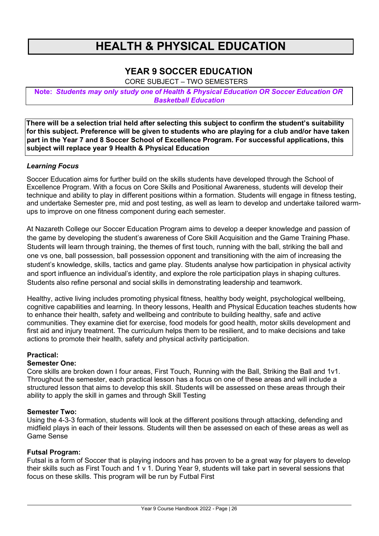## **HEALTH & PHYSICAL EDUCATION**

### <span id="page-25-0"></span>**YEAR 9 SOCCER EDUCATION**

CORE SUBJECT – TWO SEMESTERS

**Note:** *Students may only study one of Health & Physical Education OR Soccer Education OR Basketball Education*

**There will be a selection trial held after selecting this subject to confirm the student's suitability for this subject. Preference will be given to students who are playing for a club and/or have taken part in the Year 7 and 8 Soccer School of Excellence Program. For successful applications, this subject will replace year 9 Health & Physical Education**

#### *Learning Focus*

Soccer Education aims for further build on the skills students have developed through the School of Excellence Program. With a focus on Core Skills and Positional Awareness, students will develop their technique and ability to play in different positions within a formation. Students will engage in fitness testing, and undertake Semester pre, mid and post testing, as well as learn to develop and undertake tailored warmups to improve on one fitness component during each semester.

At Nazareth College our Soccer Education Program aims to develop a deeper knowledge and passion of the game by developing the student's awareness of Core Skill Acquisition and the Game Training Phase. Students will learn through training, the themes of first touch, running with the ball, striking the ball and one vs one, ball possession, ball possession opponent and transitioning with the aim of increasing the student's knowledge, skills, tactics and game play. Students analyse how participation in physical activity and sport influence an individual's identity, and explore the role participation plays in shaping cultures. Students also refine personal and social skills in demonstrating leadership and teamwork.

Healthy, active living includes promoting physical fitness, healthy body weight, psychological wellbeing, cognitive capabilities and learning. In theory lessons, Health and Physical Education teaches students how to enhance their health, safety and wellbeing and contribute to building healthy, safe and active communities. They examine diet for exercise, food models for good health, motor skills development and first aid and injury treatment. The curriculum helps them to be resilient, and to make decisions and take actions to promote their health, safety and physical activity participation.

#### **Practical:**

#### **Semester One:**

Core skills are broken down I four areas, First Touch, Running with the Ball, Striking the Ball and 1v1. Throughout the semester, each practical lesson has a focus on one of these areas and will include a structured lesson that aims to develop this skill. Students will be assessed on these areas through their ability to apply the skill in games and through Skill Testing

#### **Semester Two:**

Using the 4-3-3 formation, students will look at the different positions through attacking, defending and midfield plays in each of their lessons. Students will then be assessed on each of these areas as well as Game Sense

#### **Futsal Program:**

Futsal is a form of Soccer that is playing indoors and has proven to be a great way for players to develop their skills such as First Touch and 1 v 1. During Year 9, students will take part in several sessions that focus on these skills. This program will be run by Futbal First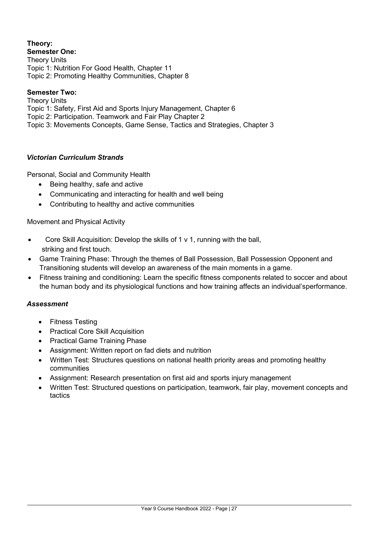### **Theory:**

**Semester One:** Theory Units Topic 1: Nutrition For Good Health, Chapter 11 Topic 2: Promoting Healthy Communities, Chapter 8

#### **Semester Two:**

Theory Units Topic 1: Safety, First Aid and Sports Injury Management, Chapter 6 Topic 2: Participation. Teamwork and Fair Play Chapter 2 Topic 3: Movements Concepts, Game Sense, Tactics and Strategies, Chapter 3

#### *Victorian Curriculum Strands*

Personal, Social and Community Health

- Being healthy, safe and active
- Communicating and interacting for health and well being
- Contributing to healthy and active communities

Movement and Physical Activity

- Core Skill Acquisition: Develop the skills of 1 v 1, running with the ball, striking and first touch.
- Game Training Phase: Through the themes of Ball Possession, Ball Possession Opponent and Transitioning students will develop an awareness of the main moments in a game.
- Fitness training and conditioning: Learn the specific fitness components related to soccer and about the human body and its physiological functions and how training affects an individual'sperformance.

- Fitness Testing
- Practical Core Skill Acquisition
- Practical Game Training Phase
- Assignment: Written report on fad diets and nutrition
- Written Test: Structures questions on national health priority areas and promoting healthy communities
- Assignment: Research presentation on first aid and sports injury management
- Written Test: Structured questions on participation, teamwork, fair play, movement concepts and tactics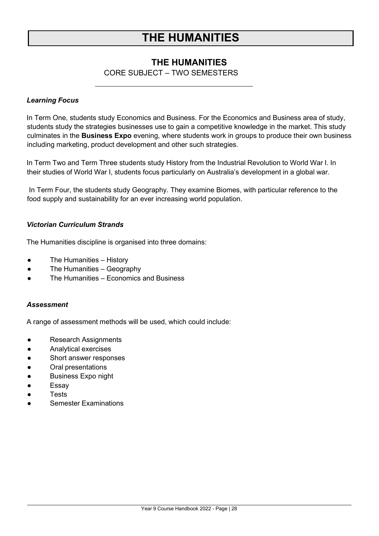## **THE HUMANITIES**

### **THE HUMANITIES**

### CORE SUBJECT – TWO SEMESTERS

#### <span id="page-27-0"></span>*Learning Focus*

In Term One, students study Economics and Business. For the Economics and Business area of study, students study the strategies businesses use to gain a competitive knowledge in the market. This study culminates in the **Business Expo** evening, where students work in groups to produce their own business including marketing, product development and other such strategies.

In Term Two and Term Three students study History from the Industrial Revolution to World War I. In their studies of World War I, students focus particularly on Australia's development in a global war.

In Term Four, the students study Geography. They examine Biomes, with particular reference to the food supply and sustainability for an ever increasing world population.

#### *Victorian Curriculum Strands*

The Humanities discipline is organised into three domains:

- The Humanities History
- The Humanities Geography
- The Humanities Economics and Business

#### *Assessment*

A range of assessment methods will be used, which could include:

- Research Assignments
- Analytical exercises
- Short answer responses
- Oral presentations
- Business Expo night
- Essay
- **Tests**
- **Semester Examinations**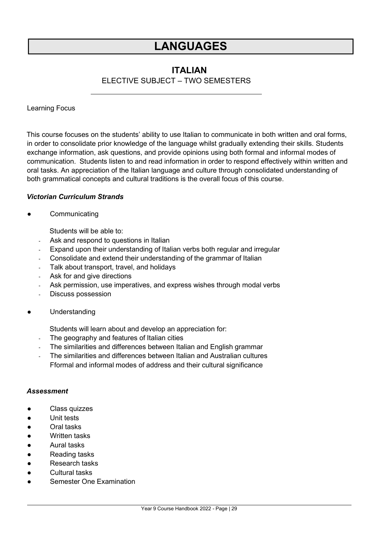## **LANGUAGES**

### **ITALIAN**

### ELECTIVE SUBJECT – TWO SEMESTERS

### <span id="page-28-0"></span>Learning Focus

This course focuses on the students' ability to use Italian to communicate in both written and oral forms, in order to consolidate prior knowledge of the language whilst gradually extending their skills. Students exchange information, ask questions, and provide opinions using both formal and informal modes of communication. Students listen to and read information in order to respond effectively within written and oral tasks. An appreciation of the Italian language and culture through consolidated understanding of both grammatical concepts and cultural traditions is the overall focus of this course.

#### *Victorian Curriculum Strands*

#### **Communicating**

Students will be able to:

- Ask and respond to questions in Italian
- Expand upon their understanding of Italian verbs both regular and irregular
- Consolidate and extend their understanding of the grammar of Italian
- Talk about transport, travel, and holidays
- Ask for and give directions
- Ask permission, use imperatives, and express wishes through modal verbs
- Discuss possession
- Understanding

Students will learn about and develop an appreciation for:

- The geography and features of Italian cities
- The similarities and differences between Italian and English grammar
- The similarities and differences between Italian and Australian cultures Fformal and informal modes of address and their cultural significance

- Class quizzes
- Unit tests
- Oral tasks
- Written tasks
- Aural tasks
- Reading tasks
- Research tasks
- Cultural tasks
- **Semester One Examination**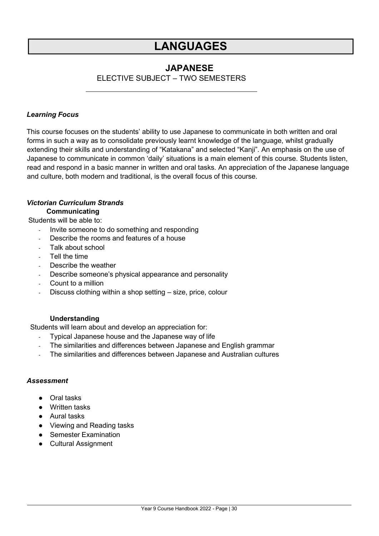## **LANGUAGES**

### **JAPANESE**

ELECTIVE SUBJECT – TWO SEMESTERS

#### <span id="page-29-0"></span>*Learning Focus*

This course focuses on the students' ability to use Japanese to communicate in both written and oral forms in such a way as to consolidate previously learnt knowledge of the language, whilst gradually extending their skills and understanding of "Katakana" and selected "Kanji". An emphasis on the use of Japanese to communicate in common 'daily' situations is a main element of this course. Students listen, read and respond in a basic manner in written and oral tasks. An appreciation of the Japanese language and culture, both modern and traditional, is the overall focus of this course.

#### *Victorian Curriculum Strands* **Communicating**

Students will be able to:

- Invite someone to do something and responding
- Describe the rooms and features of a house
- Talk about school
- Tell the time
- Describe the weather
- Describe someone's physical appearance and personality
- Count to a million
- Discuss clothing within a shop setting size, price, colour

#### **Understanding**

Students will learn about and develop an appreciation for:

- Typical Japanese house and the Japanese way of life
- The similarities and differences between Japanese and English grammar
- The similarities and differences between Japanese and Australian cultures

- Oral tasks
- Written tasks
- Aural tasks
- Viewing and Reading tasks
- Semester Examination
- Cultural Assignment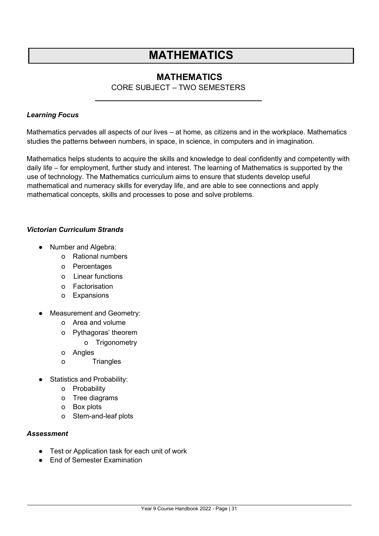## **MATHEMATICS**

### **MATHEMATICS**

### CORE SUBJECT – TWO SEMESTERS

#### <span id="page-30-0"></span>*Learning Focus*

Mathematics pervades all aspects of our lives – at home, as citizens and in the workplace. Mathematics studies the patterns between numbers, in space, in science, in computers and in imagination.

Mathematics helps students to acquire the skills and knowledge to deal confidently and competently with daily life – for employment, further study and interest. The learning of Mathematics is supported by the use of technology. The Mathematics curriculum aims to ensure that students develop useful mathematical and numeracy skills for everyday life, and are able to see connections and apply mathematical concepts, skills and processes to pose and solve problems.

#### *Victorian Curriculum Strands*

- Number and Algebra:
	- o Rational numbers
	- o Percentages
	- o Linear functions
	- o Factorisation
	- o Expansions
- Measurement and Geometry:
	- o Area and volume
	- o Pythagoras' theorem
		- o Trigonometry
	- o Angles
	- o Triangles
- **Statistics and Probability:** 
	- o Probability
	- o Tree diagrams
	- o Box plots
	- o Stem-and-leaf plots

- Test or Application task for each unit of work
- End of Semester Examination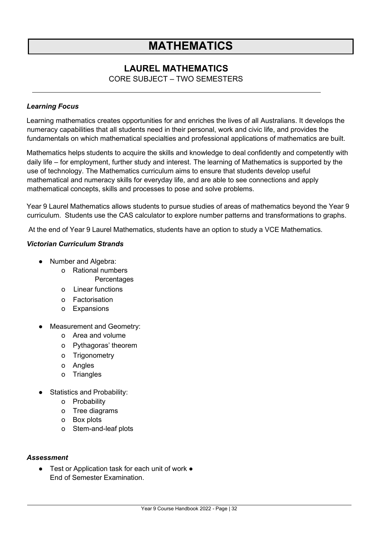## **MATHEMATICS**

### <span id="page-31-0"></span>**LAUREL MATHEMATICS**

CORE SUBJECT – TWO SEMESTERS

#### *Learning Focus*

Learning mathematics creates opportunities for and enriches the lives of all Australians. It develops the numeracy capabilities that all students need in their personal, work and civic life, and provides the fundamentals on which mathematical specialties and professional applications of mathematics are built.

Mathematics helps students to acquire the skills and knowledge to deal confidently and competently with daily life – for employment, further study and interest. The learning of Mathematics is supported by the use of technology. The Mathematics curriculum aims to ensure that students develop useful mathematical and numeracy skills for everyday life, and are able to see connections and apply mathematical concepts, skills and processes to pose and solve problems.

Year 9 Laurel Mathematics allows students to pursue studies of areas of mathematics beyond the Year 9 curriculum. Students use the CAS calculator to explore number patterns and transformations to graphs.

At the end of Year 9 Laurel Mathematics, students have an option to study a VCE Mathematics.

#### *Victorian Curriculum Strands*

- Number and Algebra:
	- o Rational numbers

**Percentages** 

- o Linear functions
- o Factorisation
- o Expansions
- Measurement and Geometry:
	- o Area and volume
	- o Pythagoras' theorem
	- o Trigonometry
	- o Angles
	- o Triangles
- Statistics and Probability:
	- o Probability
	- o Tree diagrams
	- o Box plots
	- o Stem-and-leaf plots

#### *Assessment*

● Test or Application task for each unit of work ● End of Semester Examination.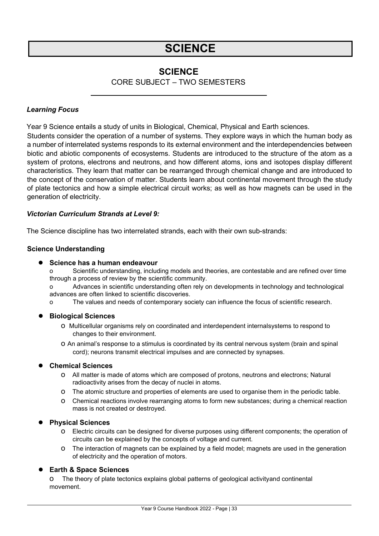## **SCIENCE**

### **SCIENCE**

### CORE SUBJECT – TWO SEMESTERS

#### <span id="page-32-0"></span>*Learning Focus*

Year 9 Science entails a study of units in Biological, Chemical, Physical and Earth sciences. Students consider the operation of a number of systems. They explore ways in which the human body as a number of interrelated systems responds to its external environment and the interdependencies between biotic and abiotic components of ecosystems. Students are introduced to the structure of the atom as a system of protons, electrons and neutrons, and how different atoms, ions and isotopes display different characteristics. They learn that matter can be rearranged through chemical change and are introduced to the concept of the conservation of matter. Students learn about continental movement through the study of plate tectonics and how a simple electrical circuit works; as well as how magnets can be used in the generation of electricity.

#### *Victorian Curriculum Strands at Level 9:*

The Science discipline has two interrelated strands, each with their own sub-strands:

#### **Science Understanding**

#### **● Science has a human endeavour**

Scientific understanding, including models and theories, are contestable and are refined over time through a process of review by the scientific community.

o Advances in scientific understanding often rely on developments in technology and technological advances are often linked to scientific discoveries.

o The values and needs of contemporary society can influence the focus of scientific research.

#### **● Biological Sciences**

- o Multicellular organisms rely on coordinated and interdependent internalsystems to respond to changes to their environment.
- o An animal's response to a stimulus is coordinated by its central nervous system (brain and spinal cord); neurons transmit electrical impulses and are connected by synapses.

#### **● Chemical Sciences**

- o All matter is made of atoms which are composed of protons, neutrons and electrons; Natural radioactivity arises from the decay of nuclei in atoms.
- o The atomic structure and properties of elements are used to organise them in the periodic table.
- o Chemical reactions involve rearranging atoms to form new substances; during a chemical reaction mass is not created or destroyed.

#### **● Physical Sciences**

- o Electric circuits can be designed for diverse purposes using different components; the operation of circuits can be explained by the concepts of voltage and current.
- o The interaction of magnets can be explained by a field model; magnets are used in the generation of electricity and the operation of motors.

#### **● Earth & Space Sciences**

o The theory of plate tectonics explains global patterns of geological activityand continental movement.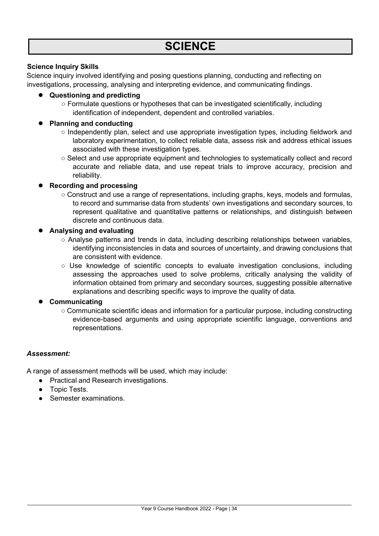#### **Science Inquiry Skills**

Science inquiry involved identifying and posing questions planning, conducting and reflecting on investigations, processing, analysing and interpreting evidence, and communicating findings.

#### **● Questioning and predicting**

○ Formulate questions or hypotheses that can be investigated scientifically, including identification of independent, dependent and controlled variables.

#### **● Planning and conducting**

- Independently plan, select and use appropriate investigation types, including fieldwork and laboratory experimentation, to collect reliable data, assess risk and address ethical issues associated with these investigation types.
- Select and use appropriate equipment and technologies to systematically collect and record accurate and reliable data, and use repeat trials to improve accuracy, precision and reliability.

#### **● Recording and processing**

○ Construct and use a range of representations, including graphs, keys, models and formulas, to record and summarise data from students' own investigations and secondary sources, to represent qualitative and quantitative patterns or relationships, and distinguish between discrete and continuous data.

#### **● Analysing and evaluating**

- Analyse patterns and trends in data, including describing relationships between variables, identifying inconsistencies in data and sources of uncertainty, and drawing conclusions that are consistent with evidence.
- Use knowledge of scientific concepts to evaluate investigation conclusions, including assessing the approaches used to solve problems, critically analysing the validity of information obtained from primary and secondary sources, suggesting possible alternative explanations and describing specific ways to improve the quality of data.

#### **● Communicating**

○ Communicate scientific ideas and information for a particular purpose, including constructing evidence-based arguments and using appropriate scientific language, conventions and representations.

#### *Assessment:*

A range of assessment methods will be used, which may include:

- Practical and Research investigations.
- Topic Tests.
- Semester examinations.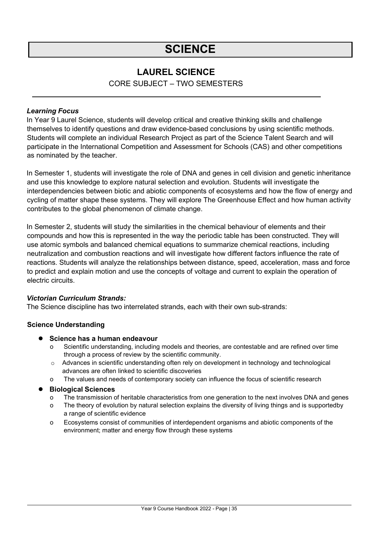## **SCIENCE**

### **LAUREL SCIENCE**

CORE SUBJECT – TWO SEMESTERS

#### <span id="page-34-0"></span>*Learning Focus*

In Year 9 Laurel Science, students will develop critical and creative thinking skills and challenge themselves to identify questions and draw evidence-based conclusions by using scientific methods. Students will complete an individual Research Project as part of the Science Talent Search and will participate in the International Competition and Assessment for Schools (CAS) and other competitions as nominated by the teacher.

In Semester 1, students will investigate the role of DNA and genes in cell division and genetic inheritance and use this knowledge to explore natural selection and evolution. Students will investigate the interdependencies between biotic and abiotic components of ecosystems and how the flow of energy and cycling of matter shape these systems. They will explore The Greenhouse Effect and how human activity contributes to the global phenomenon of climate change.

In Semester 2, students will study the similarities in the chemical behaviour of elements and their compounds and how this is represented in the way the periodic table has been constructed. They will use atomic symbols and balanced chemical equations to summarize chemical reactions, including neutralization and combustion reactions and will investigate how different factors influence the rate of reactions. Students will analyze the relationships between distance, speed, acceleration, mass and force to predict and explain motion and use the concepts of voltage and current to explain the operation of electric circuits.

#### *Victorian Curriculum Strands:*

The Science discipline has two interrelated strands, each with their own sub-strands:

#### **Science Understanding**

- **● Science has a human endeavour**
	- Scientific understanding, including models and theories, are contestable and are refined over time through a process of review by the scientific community.
	- o Advances in scientific understanding often rely on development in technology and technological advances are often linked to scientific discoveries
	- o The values and needs of contemporary society can influence the focus of scientific research

#### **● Biological Sciences**

- o The transmission of heritable characteristics from one generation to the next involves DNA and genes
- o The theory of evolution by natural selection explains the diversity of living things and is supportedby a range of scientific evidence
- o Ecosystems consist of communities of interdependent organisms and abiotic components of the environment; matter and energy flow through these systems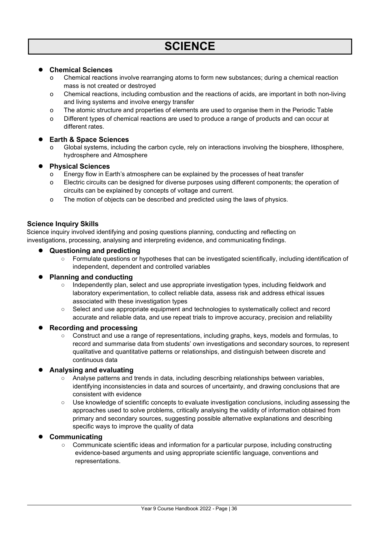#### **● Chemical Sciences**

- o Chemical reactions involve rearranging atoms to form new substances; during a chemical reaction mass is not created or destroyed
- o Chemical reactions, including combustion and the reactions of acids, are important in both non-living and living systems and involve energy transfer
- o The atomic structure and properties of elements are used to organise them in the Periodic Table
- o Different types of chemical reactions are used to produce a range of products and can occur at different rates.

#### **● Earth & Space Sciences**

Global systems, including the carbon cycle, rely on interactions involving the biosphere, lithosphere, hydrosphere and Atmosphere

#### **● Physical Sciences**

- o Energy flow in Earth's atmosphere can be explained by the processes of heat transfer
- o Electric circuits can be designed for diverse purposes using different components; the operation of circuits can be explained by concepts of voltage and current.
- o The motion of objects can be described and predicted using the laws of physics.

#### **Science Inquiry Skills**

Science inquiry involved identifying and posing questions planning, conducting and reflecting on investigations, processing, analysing and interpreting evidence, and communicating findings.

#### **● Questioning and predicting**

○ Formulate questions or hypotheses that can be investigated scientifically, including identification of independent, dependent and controlled variables

#### **● Planning and conducting**

- Independently plan, select and use appropriate investigation types, including fieldwork and laboratory experimentation, to collect reliable data, assess risk and address ethical issues associated with these investigation types
- Select and use appropriate equipment and technologies to systematically collect and record accurate and reliable data, and use repeat trials to improve accuracy, precision and reliability

#### **● Recording and processing**

○ Construct and use a range of representations, including graphs, keys, models and formulas, to record and summarise data from students' own investigations and secondary sources, to represent qualitative and quantitative patterns or relationships, and distinguish between discrete and continuous data

#### **● Analysing and evaluating**

- Analyse patterns and trends in data, including describing relationships between variables, identifying inconsistencies in data and sources of uncertainty, and drawing conclusions that are consistent with evidence
- Use knowledge of scientific concepts to evaluate investigation conclusions, including assessing the approaches used to solve problems, critically analysing the validity of information obtained from primary and secondary sources, suggesting possible alternative explanations and describing specific ways to improve the quality of data

#### **● Communicating**

○ Communicate scientific ideas and information for a particular purpose, including constructing evidence-based arguments and using appropriate scientific language, conventions and representations.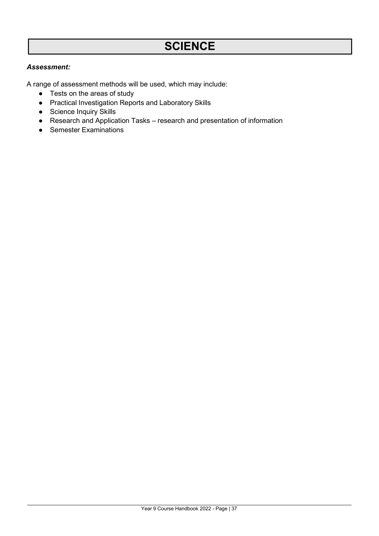## **SCIENCE**

#### *Assessment:*

A range of assessment methods will be used, which may include:

- Tests on the areas of study
- Practical Investigation Reports and Laboratory Skills
- Science Inquiry Skills
- Research and Application Tasks research and presentation of information
- Semester Examinations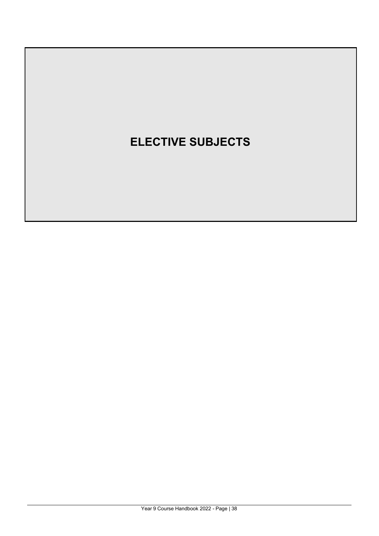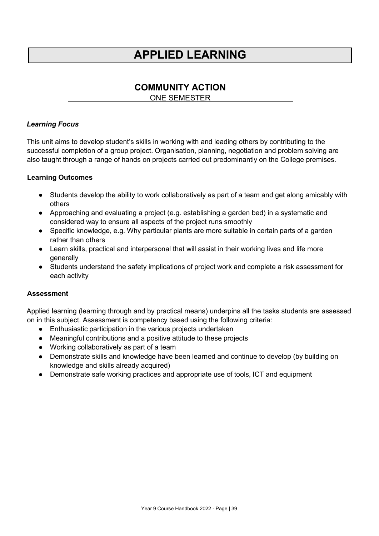## **APPLIED LEARNING**

### **COMMUNITY ACTION**

ONE SEMESTER

### <span id="page-38-0"></span>*Learning Focus*

This unit aims to develop student's skills in working with and leading others by contributing to the successful completion of a group project. Organisation, planning, negotiation and problem solving are also taught through a range of hands on projects carried out predominantly on the College premises.

#### **Learning Outcomes**

- Students develop the ability to work collaboratively as part of a team and get along amicably with others
- Approaching and evaluating a project (e.g. establishing a garden bed) in a systematic and considered way to ensure all aspects of the project runs smoothly
- Specific knowledge, e.g. Why particular plants are more suitable in certain parts of a garden rather than others
- Learn skills, practical and interpersonal that will assist in their working lives and life more generally
- Students understand the safety implications of project work and complete a risk assessment for each activity

#### **Assessment**

Applied learning (learning through and by practical means) underpins all the tasks students are assessed on in this subject. Assessment is competency based using the following criteria:

- Enthusiastic participation in the various projects undertaken
- Meaningful contributions and a positive attitude to these projects
- Working collaboratively as part of a team
- Demonstrate skills and knowledge have been learned and continue to develop (by building on knowledge and skills already acquired)
- Demonstrate safe working practices and appropriate use of tools, ICT and equipment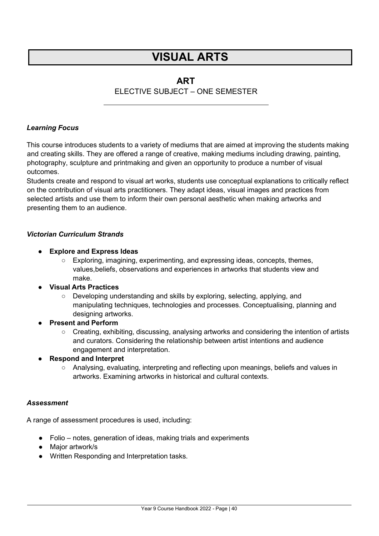### **ART**

### ELECTIVE SUBJECT – ONE SEMESTER

#### <span id="page-39-0"></span>*Learning Focus*

This course introduces students to a variety of mediums that are aimed at improving the students making and creating skills. They are offered a range of creative, making mediums including drawing, painting, photography, sculpture and printmaking and given an opportunity to produce a number of visual outcomes.

Students create and respond to visual art works, students use conceptual explanations to critically reflect on the contribution of visual arts practitioners. They adapt ideas, visual images and practices from selected artists and use them to inform their own personal aesthetic when making artworks and presenting them to an audience.

#### *Victorian Curriculum Strands*

- **● Explore and Express Ideas**
	- Exploring, imagining, experimenting, and expressing ideas, concepts, themes, values,beliefs, observations and experiences in artworks that students view and make.
- **● Visual Arts Practices**
	- Developing understanding and skills by exploring, selecting, applying, and manipulating techniques, technologies and processes. Conceptualising, planning and designing artworks.
- **● Present and Perform**
	- Creating, exhibiting, discussing, analysing artworks and considering the intention of artists and curators. Considering the relationship between artist intentions and audience engagement and interpretation.
- **● Respond and Interpret**
	- Analysing, evaluating, interpreting and reflecting upon meanings, beliefs and values in artworks. Examining artworks in historical and cultural contexts.

#### *Assessment*

A range of assessment procedures is used, including:

- Folio notes, generation of ideas, making trials and experiments
- Major artwork/s
- Written Responding and Interpretation tasks.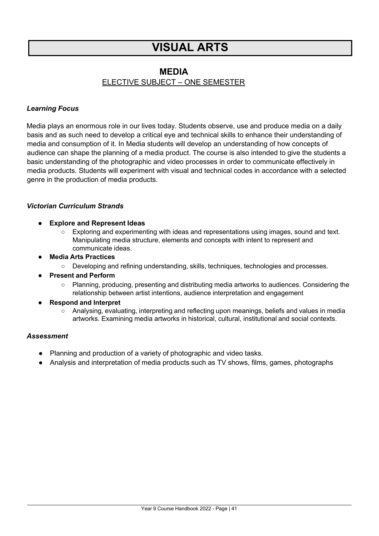### **MEDIA**

### ELECTIVE SUBJECT – ONE SEMESTER

#### *Learning Focus*

Media plays an enormous role in our lives today. Students observe, use and produce media on a daily basis and as such need to develop a critical eye and technical skills to enhance their understanding of media and consumption of it. In Media students will develop an understanding of how concepts of audience can shape the planning of a media product. The course is also intended to give the students a basic understanding of the photographic and video processes in order to communicate effectively in media products. Students will experiment with visual and technical codes in accordance with a selected genre in the production of media products.

#### *Victorian Curriculum Strands*

- **● Explore and Represent Ideas**
	- Exploring and experimenting with ideas and representations using images, sound and text. Manipulating media structure, elements and concepts with intent to represent and communicate ideas.
- **● Media Arts Practices**
	- Developing and refining understanding, skills, techniques, technologies and processes.
- **● Present and Perform**
	- Planning, producing, presenting and distributing media artworks to audiences. Considering the relationship between artist intentions, audience interpretation and engagement
- **● Respond and Interpret**
	- Analysing, evaluating, interpreting and reflecting upon meanings, beliefs and values in media artworks. Examining media artworks in historical, cultural, institutional and social contexts.

- Planning and production of a variety of photographic and video tasks.
- Analysis and interpretation of media products such as TV shows, films, games, photographs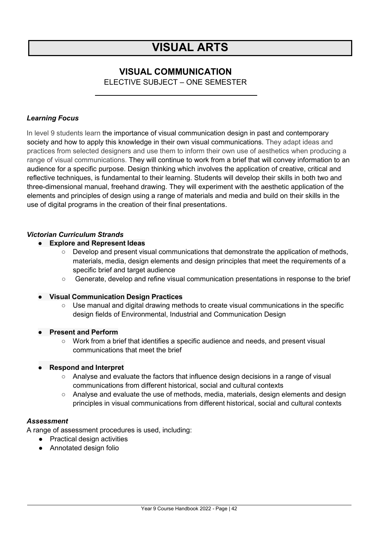### **VISUAL COMMUNICATION**

ELECTIVE SUBJECT – ONE SEMESTER

#### *Learning Focus*

In level 9 students learn the importance of visual communication design in past and contemporary society and how to apply this knowledge in their own visual communications. They adapt ideas and practices from selected designers and use them to inform their own use of aesthetics when producing a range of visual communications. They will continue to work from a brief that will convey information to an audience for a specific purpose. Design thinking which involves the application of creative, critical and reflective techniques, is fundamental to their learning. Students will develop their skills in both two and three-dimensional manual, freehand drawing. They will experiment with the aesthetic application of the elements and principles of design using a range of materials and media and build on their skills in the use of digital programs in the creation of their final presentations.

#### *Victorian Curriculum Strands*

#### **● Explore and Represent Ideas**

- $\circ$  Develop and present visual communications that demonstrate the application of methods, materials, media, design elements and design principles that meet the requirements of a specific brief and target audience
- Generate, develop and refine visual communication presentations in response to the brief

#### **● Visual Communication Design Practices**

 $\circ$  Use manual and digital drawing methods to create visual communications in the specific design fields of Environmental, Industrial and Communication Design

#### **● Present and Perform**

○ Work from a brief that identifies a specific audience and needs, and present visual communications that meet the brief

#### **● Respond and Interpret**

- Analyse and evaluate the factors that influence design decisions in a range of visual communications from different historical, social and cultural contexts
- Analyse and evaluate the use of methods, media, materials, design elements and design principles in visual communications from different historical, social and cultural contexts

#### *Assessment*

A range of assessment procedures is used, including:

- Practical design activities
- Annotated design folio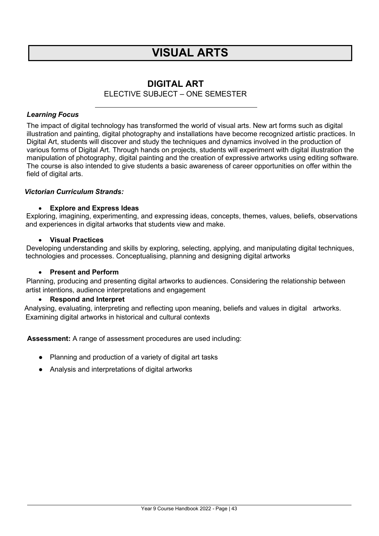### **DIGITAL ART**

#### ELECTIVE SUBJECT – ONE SEMESTER

#### <span id="page-42-0"></span>*Learning Focus*

The impact of digital technology has transformed the world of visual arts. New art forms such as digital illustration and painting, digital photography and installations have become recognized artistic practices. In Digital Art, students will discover and study the techniques and dynamics involved in the production of various forms of Digital Art. Through hands on projects, students will experiment with digital illustration the manipulation of photography, digital painting and the creation of expressive artworks using editing software. The course is also intended to give students a basic awareness of career opportunities on offer within the field of digital arts.

#### *Victorian Curriculum Strands:*

#### • **Explore and Express Ideas**

Exploring, imagining, experimenting, and expressing ideas, concepts, themes, values, beliefs, observations and experiences in digital artworks that students view and make.

#### • **Visual Practices**

Developing understanding and skills by exploring, selecting, applying, and manipulating digital techniques, technologies and processes. Conceptualising, planning and designing digital artworks

#### • **Present and Perform**

 Planning, producing and presenting digital artworks to audiences. Considering the relationship between artist intentions, audience interpretations and engagement

#### • **Respond and Interpret**

Analysing, evaluating, interpreting and reflecting upon meaning, beliefs and values in digital artworks. Examining digital artworks in historical and cultural contexts

**Assessment:** A range of assessment procedures are used including:

- Planning and production of a variety of digital art tasks
- Analysis and interpretations of digital artworks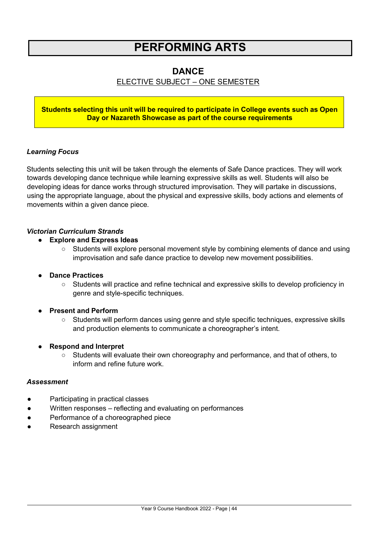## **PERFORMING ARTS**

### **DANCE**

### ELECTIVE SUBJECT – ONE SEMESTER

#### **Students selecting this unit will be required to participate in College events such as Open Day or Nazareth Showcase as part of the course requirements**

#### *Learning Focus*

Students selecting this unit will be taken through the elements of Safe Dance practices. They will work towards developing dance technique while learning expressive skills as well. Students will also be developing ideas for dance works through structured improvisation. They will partake in discussions, using the appropriate language, about the physical and expressive skills, body actions and elements of movements within a given dance piece.

#### *Victorian Curriculum Strands*

#### **● Explore and Express Ideas**

○ Students will explore personal movement style by combining elements of dance and using improvisation and safe dance practice to develop new movement possibilities.

#### **● Dance Practices**

○ Students will practice and refine technical and expressive skills to develop proficiency in genre and style-specific techniques.

#### **● Present and Perform**

○ Students will perform dances using genre and style specific techniques, expressive skills and production elements to communicate a choreographer's intent.

#### **● Respond and Interpret**

○ Students will evaluate their own choreography and performance, and that of others, to inform and refine future work.

- Participating in practical classes
- Written responses reflecting and evaluating on performances
- Performance of a choreographed piece
- Research assignment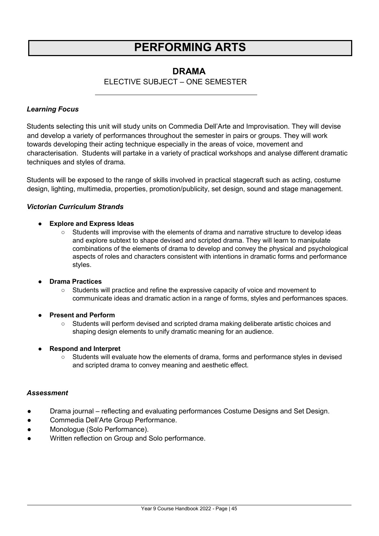## **PERFORMING ARTS**

### **DRAMA**

### ELECTIVE SUBJECT – ONE SEMESTER

#### <span id="page-44-0"></span>*Learning Focus*

Students selecting this unit will study units on Commedia Dell'Arte and Improvisation. They will devise and develop a variety of performances throughout the semester in pairs or groups. They will work towards developing their acting technique especially in the areas of voice, movement and characterisation. Students will partake in a variety of practical workshops and analyse different dramatic techniques and styles of drama.

Students will be exposed to the range of skills involved in practical stagecraft such as acting, costume design, lighting, multimedia, properties, promotion/publicity, set design, sound and stage management.

#### *Victorian Curriculum Strands*

#### **● Explore and Express Ideas**

○ Students will improvise with the elements of drama and narrative structure to develop ideas and explore subtext to shape devised and scripted drama. They will learn to manipulate combinations of the elements of drama to develop and convey the physical and psychological aspects of roles and characters consistent with intentions in dramatic forms and performance styles.

#### **● Drama Practices**

- Students will practice and refine the expressive capacity of voice and movement to communicate ideas and dramatic action in a range of forms, styles and performances spaces.
- **● Present and Perform**
	- Students will perform devised and scripted drama making deliberate artistic choices and shaping design elements to unify dramatic meaning for an audience.
- **● Respond and Interpret**
	- Students will evaluate how the elements of drama, forms and performance styles in devised and scripted drama to convey meaning and aesthetic effect.

- Drama journal reflecting and evaluating performances Costume Designs and Set Design.
- Commedia Dell'Arte Group Performance.
- Monologue (Solo Performance).
- Written reflection on Group and Solo performance.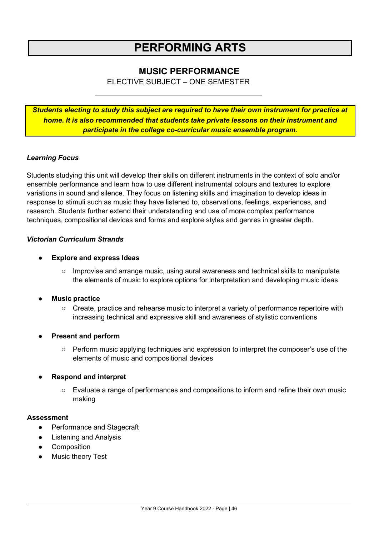## **PERFORMING ARTS**

### **MUSIC PERFORMANCE**

ELECTIVE SUBJECT – ONE SEMESTER

<span id="page-45-0"></span>*Students electing to study this subject are required to have their own instrument for practice at home. It is also recommended that students take private lessons on their instrument and participate in the college co-curricular music ensemble program.*

#### *Learning Focus*

Students studying this unit will develop their skills on different instruments in the context of solo and/or ensemble performance and learn how to use different instrumental colours and textures to explore variations in sound and silence. They focus on listening skills and imagination to develop ideas in response to stimuli such as music they have listened to, observations, feelings, experiences, and research. Students further extend their understanding and use of more complex performance techniques, compositional devices and forms and explore styles and genres in greater depth.

#### *Victorian Curriculum Strands*

#### ● **Explore and express Ideas**

○ Improvise and arrange music, using aural awareness and technical skills to manipulate the elements of music to explore options for interpretation and developing music ideas

#### ● **Music practice**

- Create, practice and rehearse music to interpret a variety of performance repertoire with increasing technical and expressive skill and awareness of stylistic conventions
- **Present and perform** 
	- Perform music applying techniques and expression to interpret the composer's use of the elements of music and compositional devices

#### ● **Respond and interpret**

○ Evaluate a range of performances and compositions to inform and refine their own music making

- Performance and Stagecraft
- **Listening and Analysis**
- Composition
- **Music theory Test**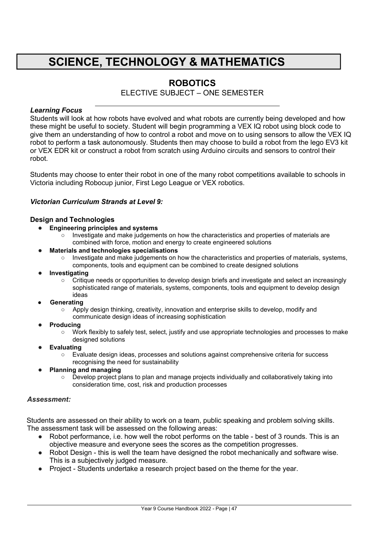## **SCIENCE, TECHNOLOGY & MATHEMATICS**

### **ROBOTICS**

ELECTIVE SUBJECT – ONE SEMESTER

#### *Learning Focus*

Students will look at how robots have evolved and what robots are currently being developed and how these might be useful to society. Student will begin programming a VEX IQ robot using block code to give them an understanding of how to control a robot and move on to using sensors to allow the VEX IQ robot to perform a task autonomously. Students then may choose to build a robot from the lego EV3 kit or VEX EDR kit or construct a robot from scratch using Arduino circuits and sensors to control their robot.

Students may choose to enter their robot in one of the many robot competitions available to schools in Victoria including Robocup junior, First Lego League or VEX robotics.

#### *Victorian Curriculum Strands at Level 9:*

#### **Design and Technologies**

- **Engineering principles and systems**
	- Investigate and make judgements on how the characteristics and properties of materials are combined with force, motion and energy to create engineered solutions
- **Materials and technologies specialisations**
	- Investigate and make judgements on how the characteristics and properties of materials, systems, components, tools and equipment can be combined to create designed solutions
- **Investigating**
	- Critique needs or opportunities to develop design briefs and investigate and select an increasingly sophisticated range of materials, systems, components, tools and equipment to develop design ideas
- **● Generating**
	- Apply design thinking, creativity, innovation and enterprise skills to develop, modify and communicate design ideas of increasing sophistication
- **Producing**
	- Work flexibly to safely test, select, justify and use appropriate technologies and processes to make designed solutions
- **Evaluating**
	- Evaluate design ideas, processes and solutions against comprehensive criteria for success recognising the need for sustainability
- **Planning and managing**
	- Develop project plans to plan and manage projects individually and collaboratively taking into consideration time, cost, risk and production processes

#### *Assessment:*

Students are assessed on their ability to work on a team, public speaking and problem solving skills. The assessment task will be assessed on the following areas:

- Robot performance, i.e. how well the robot performs on the table best of 3 rounds. This is an objective measure and everyone sees the scores as the competition progresses.
- Robot Design this is well the team have designed the robot mechanically and software wise. This is a subjectively judged measure.
- Project Students undertake a research project based on the theme for the year.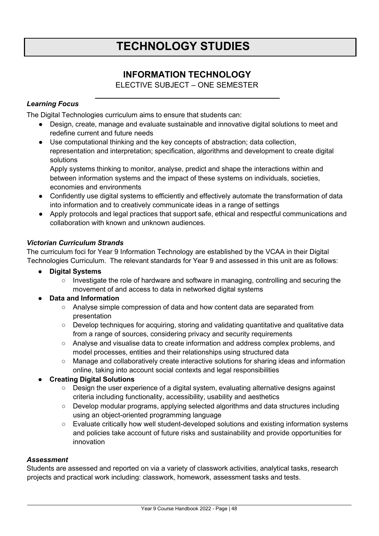### **INFORMATION TECHNOLOGY**

ELECTIVE SUBJECT – ONE SEMESTER

### <span id="page-47-0"></span>*Learning Focus*

The Digital Technologies curriculum aims to ensure that students can:

- Design, create, manage and evaluate sustainable and innovative digital solutions to meet and redefine current and future needs
- Use computational thinking and the key concepts of abstraction; data collection, representation and interpretation; specification, algorithms and development to create digital solutions

Apply systems thinking to monitor, analyse, predict and shape the interactions within and between information systems and the impact of these systems on individuals, societies, economies and environments

- Confidently use digital systems to efficiently and effectively automate the transformation of data into information and to creatively communicate ideas in a range of settings
- Apply protocols and legal practices that support safe, ethical and respectful communications and collaboration with known and unknown audiences.

### *Victorian Curriculum Strands*

The curriculum foci for Year 9 Information Technology are established by the VCAA in their Digital Technologies Curriculum. The relevant standards for Year 9 and assessed in this unit are as follows:

- **● Digital Systems**
	- Investigate the role of hardware and software in managing, controlling and securing the movement of and access to data in networked digital systems
- **● Data and Information**
	- Analyse simple compression of data and how content data are separated from presentation
	- Develop techniques for acquiring, storing and validating quantitative and qualitative data from a range of sources, considering privacy and security requirements
	- Analyse and visualise data to create information and address complex problems, and model processes, entities and their relationships using structured data
	- Manage and collaboratively create interactive solutions for sharing ideas and information online, taking into account social contexts and legal responsibilities

### **● Creating Digital Solutions**

- Design the user experience of a digital system, evaluating alternative designs against criteria including functionality, accessibility, usability and aesthetics
- Develop modular programs, applying selected algorithms and data structures including using an object-oriented programming language
- Evaluate critically how well student-developed solutions and existing information systems and policies take account of future risks and sustainability and provide opportunities for innovation

#### *Assessment*

Students are assessed and reported on via a variety of classwork activities, analytical tasks, research projects and practical work including: classwork, homework, assessment tasks and tests.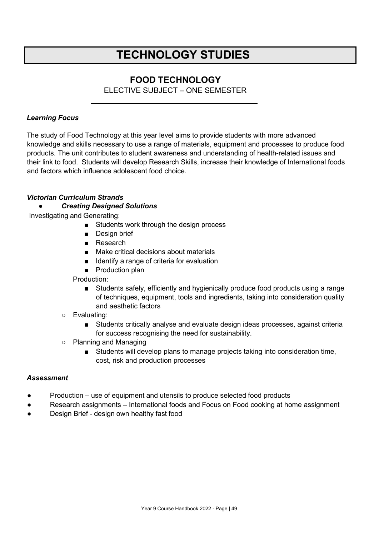### **FOOD TECHNOLOGY**

ELECTIVE SUBJECT – ONE SEMESTER

#### <span id="page-48-0"></span>*Learning Focus*

The study of Food Technology at this year level aims to provide students with more advanced knowledge and skills necessary to use a range of materials, equipment and processes to produce food products. The unit contributes to student awareness and understanding of health-related issues and their link to food. Students will develop Research Skills, increase their knowledge of International foods and factors which influence adolescent food choice.

#### *Victorian Curriculum Strands*

#### *● Creating Designed Solutions*

Investigating and Generating:

- Students work through the design process
- Design brief
- Research
- Make critical decisions about materials
- Identify a range of criteria for evaluation
- Production plan

#### Production:

■ Students safely, efficiently and hygienically produce food products using a range of techniques, equipment, tools and ingredients, taking into consideration quality and aesthetic factors

#### ○ Evaluating:

- Students critically analyse and evaluate design ideas processes, against criteria for success recognising the need for sustainability.
- Planning and Managing
	- Students will develop plans to manage projects taking into consideration time, cost, risk and production processes

- Production use of equipment and utensils to produce selected food products
- Research assignments International foods and Focus on Food cooking at home assignment
- Design Brief design own healthy fast food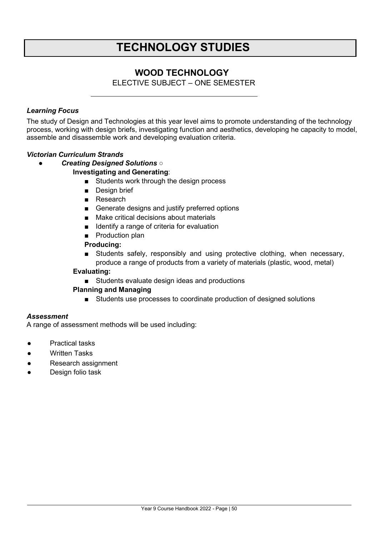### **WOOD TECHNOLOGY**

ELECTIVE SUBJECT – ONE SEMESTER

### *Learning Focus*

The study of Design and Technologies at this year level aims to promote understanding of the technology process, working with design briefs, investigating function and aesthetics, developing he capacity to model, assemble and disassemble work and developing evaluation criteria.

#### *Victorian Curriculum Strands*

*● Creating Designed Solutions* ○

#### **Investigating and Generating**:

- Students work through the design process
- Design brief
- Research
- Generate designs and justify preferred options
- Make critical decisions about materials
- Identify a range of criteria for evaluation
- Production plan

#### **Producing:**

■ Students safely, responsibly and using protective clothing, when necessary, produce a range of products from a variety of materials (plastic, wood, metal)

#### **Evaluating:**

■ Students evaluate design ideas and productions

#### **Planning and Managing**

■ Students use processes to coordinate production of designed solutions

#### *Assessment*

A range of assessment methods will be used including:

- Practical tasks
- Written Tasks
- Research assignment
- Design folio task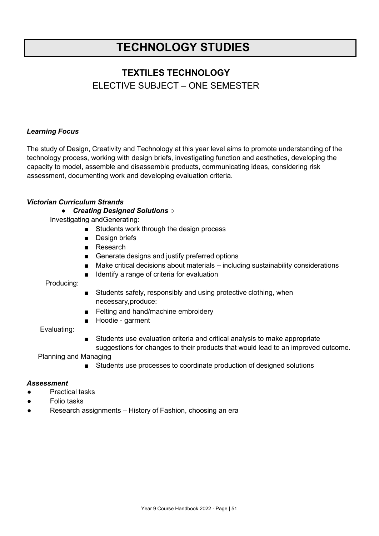### **TEXTILES TECHNOLOGY**

### ELECTIVE SUBJECT – ONE SEMESTER

#### *Learning Focus*

The study of Design, Creativity and Technology at this year level aims to promote understanding of the technology process, working with design briefs, investigating function and aesthetics, developing the capacity to model, assemble and disassemble products, communicating ideas, considering risk assessment, documenting work and developing evaluation criteria.

#### *Victorian Curriculum Strands*

#### *● Creating Designed Solutions* ○

Investigating andGenerating:

- Students work through the design process
- Design briefs
- Research
- Generate designs and justify preferred options
- Make critical decisions about materials including sustainability considerations
- Identify a range of criteria for evaluation

Producing:

- Students safely, responsibly and using protective clothing, when necessary,produce:
- Felting and hand/machine embroidery
- Hoodie garment

#### Evaluating:

■ Students use evaluation criteria and critical analysis to make appropriate suggestions for changes to their products that would lead to an improved outcome.

Planning and Managing

■ Students use processes to coordinate production of designed solutions

- **Practical tasks**
- **Folio tasks**
- Research assignments History of Fashion, choosing an era